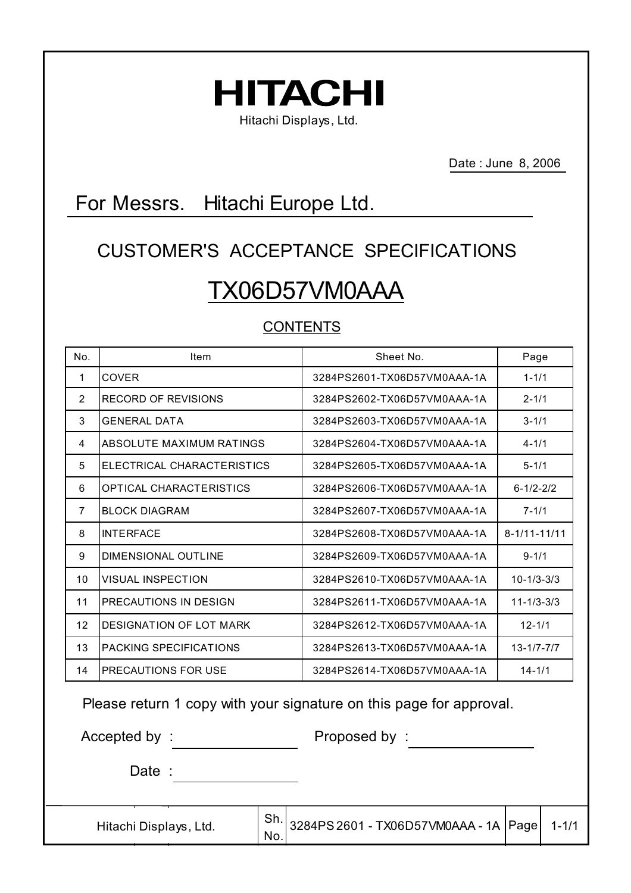

Date : June 8, 2006

# For Messrs. Hitachi Europe Ltd.

# CUSTOMER'S ACCEPTANCE SPECIFICATIONS TX06D57VM0AAA

# CONTENTS

| No.            | Item                          | Sheet No.                   | Page               |
|----------------|-------------------------------|-----------------------------|--------------------|
| 1              | <b>COVER</b>                  | 3284PS2601-TX06D57VM0AAA-1A | $1 - 1/1$          |
| $\overline{2}$ | RECORD OF REVISIONS           | 3284PS2602-TX06D57VM0AAA-1A | $2 - 1/1$          |
| 3              | <b>GENERAL DATA</b>           | 3284PS2603-TX06D57VM0AAA-1A | $3 - 1/1$          |
| 4              | ABSOLUTE MAXIMUM RATINGS      | 3284PS2604-TX06D57VM0AAA-1A | $4 - 1/1$          |
| 5              | ELECTRICAL CHARACTERISTICS    | 3284PS2605-TX06D57VM0AAA-1A | $5 - 1/1$          |
| 6              | OPTICAL CHARACTERISTICS       | 3284PS2606-TX06D57VM0AAA-1A | $6 - 1/2 - 2/2$    |
| $\overline{7}$ | <b>BLOCK DIAGRAM</b>          | 3284PS2607-TX06D57VM0AAA-1A | $7 - 1/1$          |
| 8              | <b>INTERFACE</b>              | 3284PS2608-TX06D57VM0AAA-1A | $8 - 1/11 - 11/11$ |
| 9              | DIMENSIONAL OUTLINE           | 3284PS2609-TX06D57VM0AAA-1A | $9 - 1/1$          |
| 10             | <b>VISUAL INSPECTION</b>      | 3284PS2610-TX06D57VM0AAA-1A | $10 - 1/3 - 3/3$   |
| 11             | PRECAUTIONS IN DESIGN         | 3284PS2611-TX06D57VM0AAA-1A | $11 - 1/3 - 3/3$   |
| 12             | DESIGNATION OF LOT MARK       | 3284PS2612-TX06D57VM0AAA-1A | $12 - 1/1$         |
| 13             | <b>PACKING SPECIFICATIONS</b> | 3284PS2613-TX06D57VM0AAA-1A | $13 - 1/7 - 7/7$   |
| 14             | PRECAUTIONS FOR USE           | 3284PS2614-TX06D57VM0AAA-1A | $14 - 1/1$         |

Please return 1 copy with your signature on this page for approval.

No.

Accepted by : Proposed by :

Date :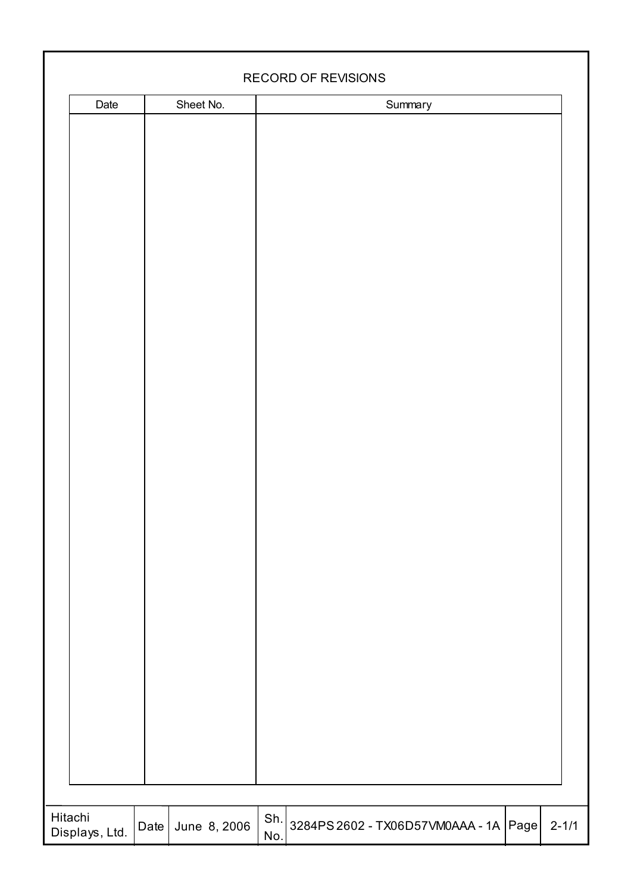|                           |      |              |            | RECORD OF REVISIONS                   |           |
|---------------------------|------|--------------|------------|---------------------------------------|-----------|
|                           |      |              |            |                                       |           |
| Date                      |      | Sheet No.    |            | Summary                               |           |
| Hitachi<br>Displays, Ltd. | Date | June 8, 2006 | Sh.<br>No. | 3284PS 2602 - TX06D57VM0AAA - 1A Page | $2 - 1/1$ |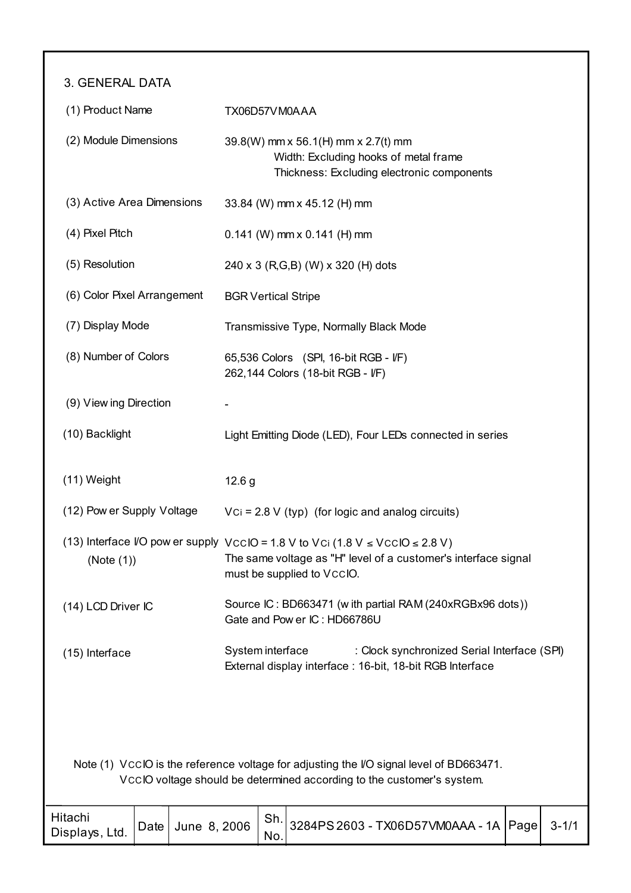3. GENERAL DATA

| (1) Product Name                                                                                                                              |      |                                                                                                                                                                                        | TX06D57VM0AAA                                             |                                                                                                                            |                                                                                                                                                                  |      |           |  |  |
|-----------------------------------------------------------------------------------------------------------------------------------------------|------|----------------------------------------------------------------------------------------------------------------------------------------------------------------------------------------|-----------------------------------------------------------|----------------------------------------------------------------------------------------------------------------------------|------------------------------------------------------------------------------------------------------------------------------------------------------------------|------|-----------|--|--|
| (2) Module Dimensions                                                                                                                         |      |                                                                                                                                                                                        |                                                           | 39.8(W) mm x 56.1(H) mm x 2.7(t) mm<br>Width: Excluding hooks of metal frame<br>Thickness: Excluding electronic components |                                                                                                                                                                  |      |           |  |  |
| (3) Active Area Dimensions                                                                                                                    |      |                                                                                                                                                                                        |                                                           |                                                                                                                            | 33.84 (W) mm x 45.12 (H) mm                                                                                                                                      |      |           |  |  |
| (4) Pixel Pitch                                                                                                                               |      |                                                                                                                                                                                        |                                                           |                                                                                                                            | $0.141$ (W) mm x $0.141$ (H) mm                                                                                                                                  |      |           |  |  |
| (5) Resolution                                                                                                                                |      |                                                                                                                                                                                        |                                                           |                                                                                                                            | 240 x 3 (R,G,B) (W) x 320 (H) dots                                                                                                                               |      |           |  |  |
| (6) Color Pixel Arrangement                                                                                                                   |      |                                                                                                                                                                                        | <b>BGR Vertical Stripe</b>                                |                                                                                                                            |                                                                                                                                                                  |      |           |  |  |
| (7) Display Mode                                                                                                                              |      |                                                                                                                                                                                        |                                                           |                                                                                                                            | Transmissive Type, Normally Black Mode                                                                                                                           |      |           |  |  |
| (8) Number of Colors                                                                                                                          |      |                                                                                                                                                                                        |                                                           |                                                                                                                            | 65,536 Colors (SPI, 16-bit RGB - I/F)<br>262,144 Colors (18-bit RGB - I/F)                                                                                       |      |           |  |  |
| (9) View ing Direction                                                                                                                        |      |                                                                                                                                                                                        |                                                           |                                                                                                                            |                                                                                                                                                                  |      |           |  |  |
| (10) Backlight                                                                                                                                |      |                                                                                                                                                                                        | Light Emitting Diode (LED), Four LEDs connected in series |                                                                                                                            |                                                                                                                                                                  |      |           |  |  |
| $(11)$ Weight                                                                                                                                 |      |                                                                                                                                                                                        | 12.6 g                                                    |                                                                                                                            |                                                                                                                                                                  |      |           |  |  |
| (12) Pow er Supply Voltage                                                                                                                    |      |                                                                                                                                                                                        |                                                           |                                                                                                                            | $Vci = 2.8 V (typ)$ (for logic and analog circuits)                                                                                                              |      |           |  |  |
| (Note (1))                                                                                                                                    |      | (13) Interface VO pow er supply VccIO = 1.8 V to Vci (1.8 V $\leq$ VccIO $\leq$ 2.8 V)<br>The same voltage as "H" level of a customer's interface signal<br>must be supplied to VccIO. |                                                           |                                                                                                                            |                                                                                                                                                                  |      |           |  |  |
| (14) LCD Driver IC                                                                                                                            |      |                                                                                                                                                                                        |                                                           |                                                                                                                            | Source IC: BD663471 (with partial RAM (240xRGBx96 dots))<br>Gate and Pow er IC: HD66786U                                                                         |      |           |  |  |
| System interface<br>: Clock synchronized Serial Interface (SPI)<br>(15) Interface<br>External display interface: 16-bit, 18-bit RGB Interface |      |                                                                                                                                                                                        |                                                           |                                                                                                                            |                                                                                                                                                                  |      |           |  |  |
|                                                                                                                                               |      |                                                                                                                                                                                        |                                                           |                                                                                                                            | Note (1) VCCIO is the reference voltage for adjusting the VO signal level of BD663471.<br>VccIO voltage should be determined according to the customer's system. |      |           |  |  |
| Hitachi<br>Displays, Ltd.                                                                                                                     | Date | June 8, 2006                                                                                                                                                                           |                                                           | Sh.<br>No.                                                                                                                 | 3284PS 2603 - TX06D57VM0AAA - 1A                                                                                                                                 | Page | $3 - 1/1$ |  |  |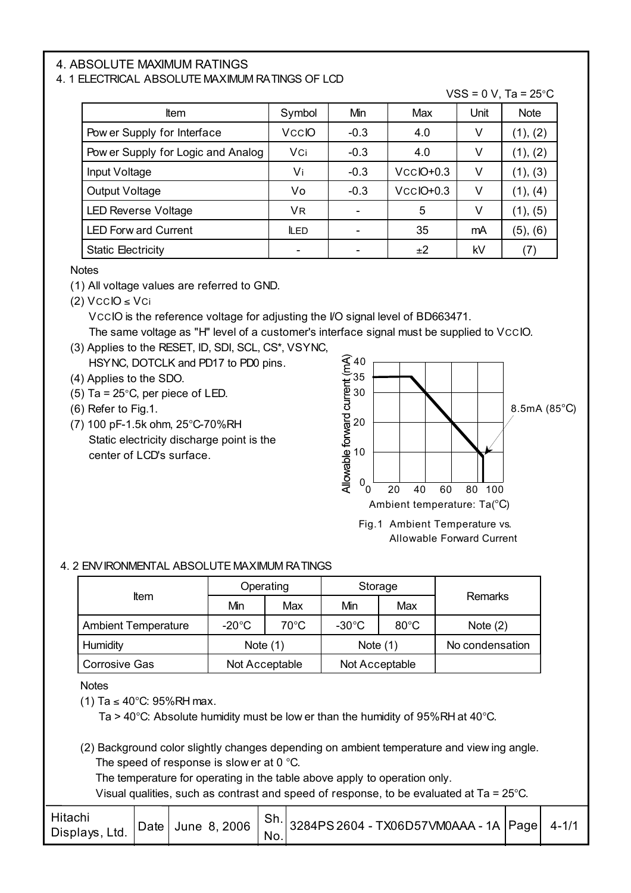#### 4. ABSOLUTE MAXIMUM RATINGS

#### 4. 1 ELECTRICAL ABSOLUTE MAXIMUM RATINGS OF LCD

| <b>Item</b>                        | Symbol       | Min    | Max          | Unit | <b>Note</b> |
|------------------------------------|--------------|--------|--------------|------|-------------|
| Pow er Supply for Interface        | <b>VccIO</b> | $-0.3$ | 4.0          | ٧    | (1), (2)    |
| Pow er Supply for Logic and Analog | Vci          | $-0.3$ | 4.0          | ٧    | (1), (2)    |
| Input Voltage                      | Vi           | $-0.3$ | $VCC$ IO+0.3 | ٧    | (1), (3)    |
| Output Voltage                     | Vo           | $-0.3$ | $VCCIO+0.3$  | ٧    | (1), (4)    |
| <b>LED Reverse Voltage</b>         | VR.          |        | 5            | ٧    | (1), (5)    |
| <b>LED Forw ard Current</b>        | <b>LED</b>   |        | 35           | mA   | (5), (6)    |
| <b>Static Electricity</b>          |              |        | ±2           | kV   | (7)         |

**Notes** 

(1) All voltage values are referred to GND.

(2)  $VCCIO \le VCi$ 

 VCCIO is the reference voltage for adjusting the I/O signal level of BD663471. The same voltage as "H" level of a customer's interface signal must be supplied to VCCIO.

- (3) Applies to the RESET, ID, SDI, SCL, CS\*, VSYNC, HSYNC, DOTCLK and PD17 to PD0 pins.
- (4) Applies to the SDO.
- (5) Ta =  $25^{\circ}$ C, per piece of LED.
- (6) Refer to Fig.1.
- (7) 100 pF-1.5k ohm, 25°C-70%RH Static electricity discharge point is the center of LCD's surface.



 $VSS = 0$  V, Ta = 25°C.

Fig.1 Ambient Temperature vs. Allowable Forward Current

#### 4. 2 ENVIRONMENTAL ABSOLUTE MAXIMUM RATINGS

|                                        |                 | Operating      | Storage         |                | Remarks         |  |
|----------------------------------------|-----------------|----------------|-----------------|----------------|-----------------|--|
| <b>Item</b>                            | Min             | Max            | Min             | Max            |                 |  |
| <b>Ambient Temperature</b>             | $-20^{\circ}$ C | $70^{\circ}$ C | $-30^{\circ}$ C | $80^{\circ}$ C | Note $(2)$      |  |
| Humidity                               | Note $(1)$      |                | Note $(1)$      |                | No condensation |  |
| <b>Corrosive Gas</b><br>Not Acceptable |                 | Not Acceptable |                 |                |                 |  |

**Notes** 

(1) Ta ≤ 40°C: 95%RH max.

Ta > 40°C: Absolute humidity must be low er than the humidity of 95%RH at 40°C.

(2) Background color slightly changes depending on ambient temperature and view ing angle. The speed of response is slow er at 0 °C.

The temperature for operating in the table above apply to operation only.

Visual qualities, such as contrast and speed of response, to be evaluated at Ta = 25°C.

| Hitachi<br>Displays, Ltd. | Date June 8, 2006   Sh. 3284PS 2604 - TX06D57VM0AAA - 1A Page 4-1/1<br>No. |  |  |
|---------------------------|----------------------------------------------------------------------------|--|--|
|---------------------------|----------------------------------------------------------------------------|--|--|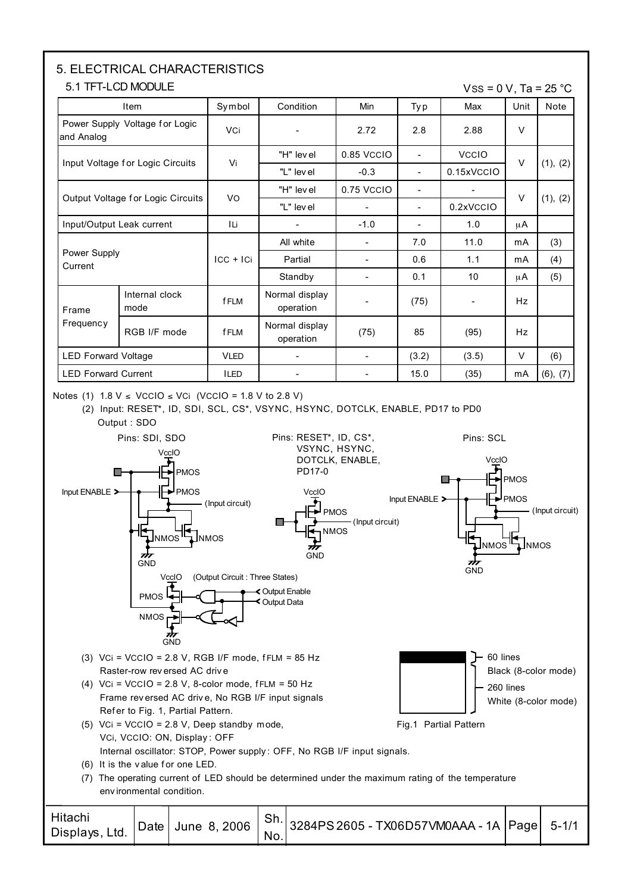# 5. ELECTRICAL CHARACTERISTICS

#### 5.1 TFT-LCD MODULE

 $VSS = 0 V$ , Ta = 25 °C

| Item                              |                                  | Symbol      | Condition                   | Min                      | Ty p                     | Max          | Unit      | Note     |
|-----------------------------------|----------------------------------|-------------|-----------------------------|--------------------------|--------------------------|--------------|-----------|----------|
| and Analog                        | Power Supply Voltage for Logic   | <b>VCi</b>  | $\sim$                      | 2.72                     | 2.8                      | 2.88         | $\vee$    |          |
|                                   |                                  | Vi          | "H" lev el                  | 0.85 VCCIO               | $\blacksquare$           | <b>VCCIO</b> | $\vee$    |          |
|                                   | Input Voltage for Logic Circuits |             | "L" level                   | $-0.3$                   | $\overline{\phantom{a}}$ | 0.15xVCCIO   |           | (1), (2) |
|                                   |                                  |             | "H" lev el                  | 0.75 VCCIO               | $\overline{\phantom{a}}$ |              | $\vee$    |          |
| Output Voltage for Logic Circuits |                                  | VO          | "L" lev el                  |                          | $\overline{\phantom{a}}$ | 0.2xVCCIO    |           | (1), (2) |
| Input/Output Leak current         |                                  | ILi.        |                             | $-1.0$                   | $\overline{\phantom{a}}$ | 1.0          | μA        |          |
|                                   |                                  |             | All white                   | $\blacksquare$           | 7.0                      | 11.0         | mA        | (3)      |
| Power Supply<br>Current           |                                  | $ CC + IC $ | Partial                     | $\blacksquare$           | 0.6                      | 1.1          | mA        | (4)      |
|                                   |                                  |             | Standby                     | $\overline{\phantom{a}}$ | 0.1                      | 10           | μA        | (5)      |
| Frame                             | Internal clock<br>mode           | <b>fFLM</b> | Normal display<br>operation |                          | (75)                     |              | <b>Hz</b> |          |
| Frequency                         | RGB I/F mode                     | <b>fFLM</b> | Normal display<br>operation | (75)                     | 85                       | (95)         | <b>Hz</b> |          |
| <b>LED Forward Voltage</b>        |                                  | <b>VLED</b> | $\blacksquare$              | $\overline{\phantom{a}}$ | (3.2)                    | (3.5)        | V         | (6)      |
| <b>LED Forward Current</b>        |                                  | <b>ILED</b> |                             |                          | 15.0                     | (35)         | mA        | (6), (7) |

Notes (1)  $1.8 \text{ V} ≤ \text{VCCIO} ≤ \text{VCi}$  (VCCIO = 1.8 V to 2.8 V)

(2) Input: RESET\*, ID, SDI, SCL, CS\*, VSYNC, HSYNC, DOTCLK, ENABLE, PD17 to PD0 Output : SDO



No.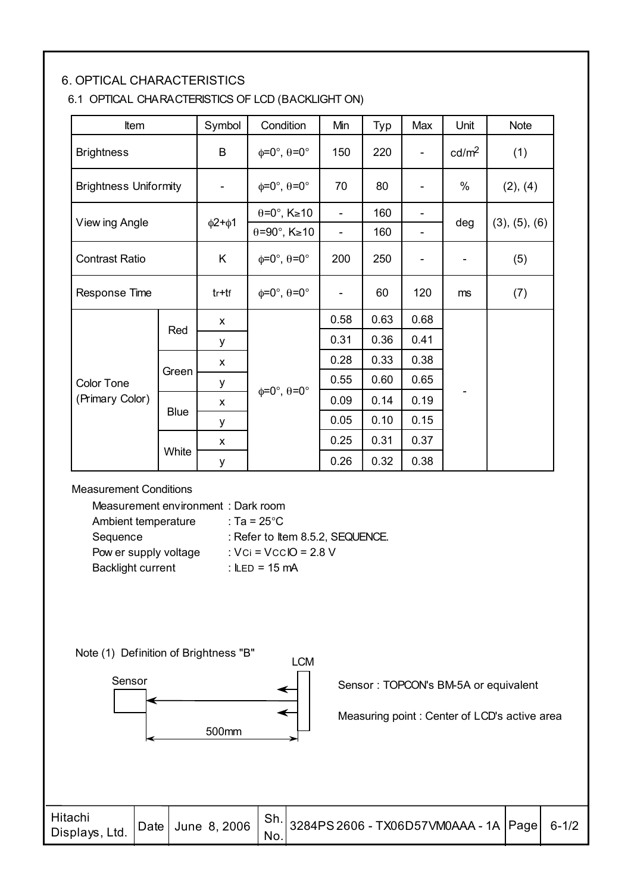#### 6. OPTICAL CHARACTERISTICS

#### 6.1 OPTICAL CHARACTERISTICS OF LCD (BACKLIGHT ON)

| Item                         |             | Symbol                       | Condition                             | Min                      | Typ  | Max                          | Unit              | <b>Note</b>   |
|------------------------------|-------------|------------------------------|---------------------------------------|--------------------------|------|------------------------------|-------------------|---------------|
| <b>Brightness</b>            |             | B                            | $\phi = 0^\circ$ , $\theta = 0^\circ$ | 150                      | 220  | $\overline{\phantom{a}}$     | cd/m <sup>2</sup> | (1)           |
| <b>Brightness Uniformity</b> |             | $\qquad \qquad \blacksquare$ | $\phi = 0^\circ$ , $\theta = 0^\circ$ | 70                       | 80   | $\qquad \qquad \blacksquare$ | $\%$              | (2), (4)      |
|                              |             |                              | $\theta = 0^\circ$ , K $\geq 10$      | -                        | 160  |                              |                   |               |
| View ing Angle               |             | $\phi$ 2+ $\phi$ 1           | $\theta = 90^\circ$ , K $\geq 10$     |                          | 160  |                              | deg               | (3), (5), (6) |
| <b>Contrast Ratio</b>        |             | K                            | $\phi = 0^\circ$ , $\theta = 0^\circ$ | 200                      | 250  |                              |                   | (5)           |
| Response Time                |             | $tr+tf$                      | $\phi = 0^\circ$ , $\theta = 0^\circ$ | $\overline{\phantom{0}}$ | 60   | 120                          | ms                | (7)           |
|                              | Red         | X                            |                                       | 0.58                     | 0.63 | 0.68                         |                   |               |
|                              |             | у                            |                                       | 0.31                     | 0.36 | 0.41                         |                   |               |
|                              |             | X                            |                                       | 0.28                     | 0.33 | 0.38                         |                   |               |
| <b>Color Tone</b>            | Green       | у                            |                                       | 0.55                     | 0.60 | 0.65                         |                   |               |
| (Primary Color)              |             | X                            | $\phi = 0^\circ$ , $\theta = 0^\circ$ | 0.09                     | 0.14 | 0.19                         |                   |               |
|                              | <b>Blue</b> | у                            |                                       | 0.05                     | 0.10 | 0.15                         |                   |               |
|                              |             | X                            |                                       | 0.25                     | 0.31 | 0.37                         |                   |               |
|                              | White       | y                            |                                       | 0.26                     | 0.32 | 0.38                         |                   |               |

Measurement Conditions

| Measurement environment: Dark room |                                  |
|------------------------------------|----------------------------------|
| Ambient temperature                | : Ta = 25°C                      |
| Sequence                           | : Refer to Item 8.5.2, SEQUENCE. |
| Pow er supply voltage              | : $Vci = VccIO = 2.8 V$          |
| <b>Backlight current</b>           | : $I = 15 \text{ mA}$            |
|                                    |                                  |

Note (1) Definition of Brightness "B"



Sensor : TOPCON's BM-5A or equivalent

Measuring point : Center of LCD's active area

| Hitachi<br>Displays, Ltd. | Date June 8, 2006 $ $ Sh. 3284PS 2606 - TX06D57VM0AAA - 1A Page 6-1/2<br>No. |  |  |
|---------------------------|------------------------------------------------------------------------------|--|--|
|---------------------------|------------------------------------------------------------------------------|--|--|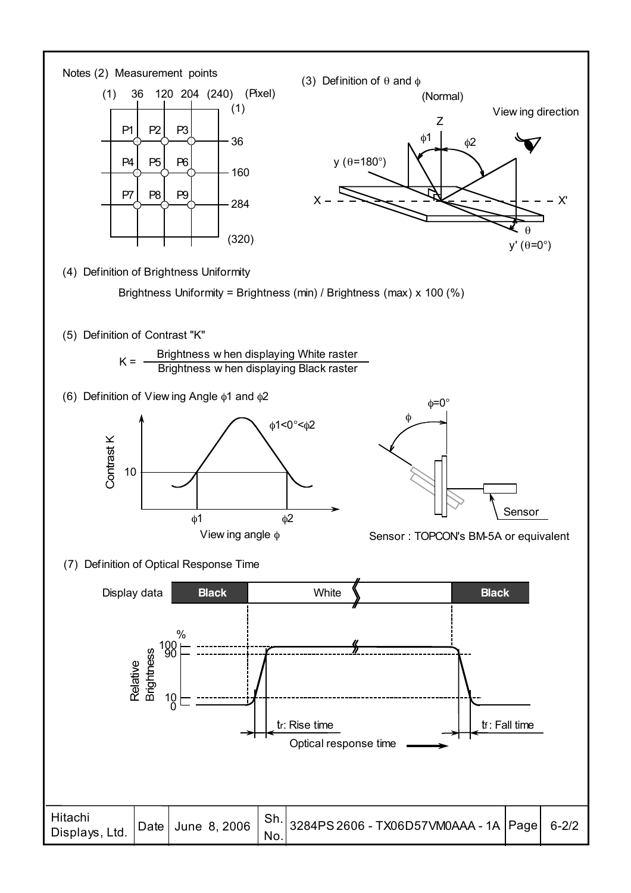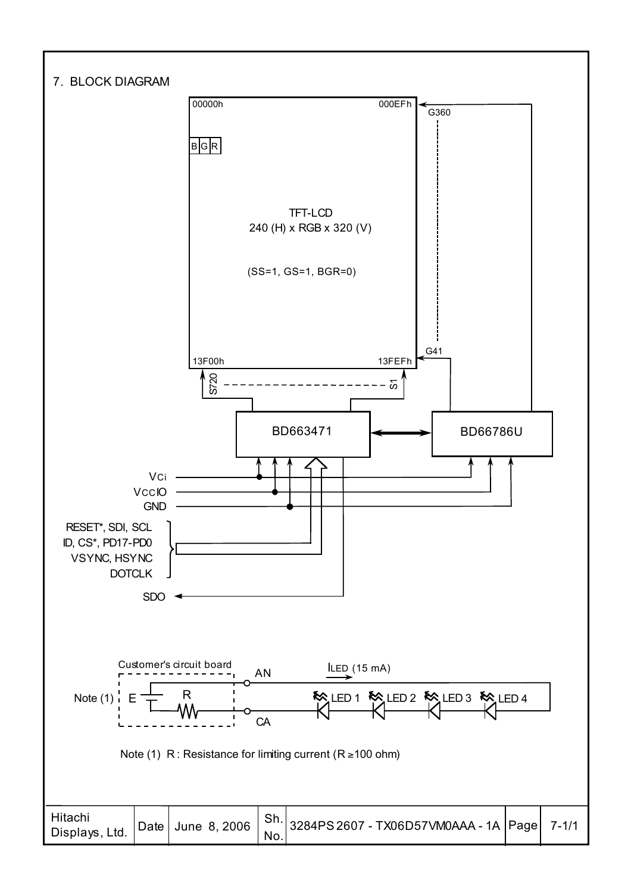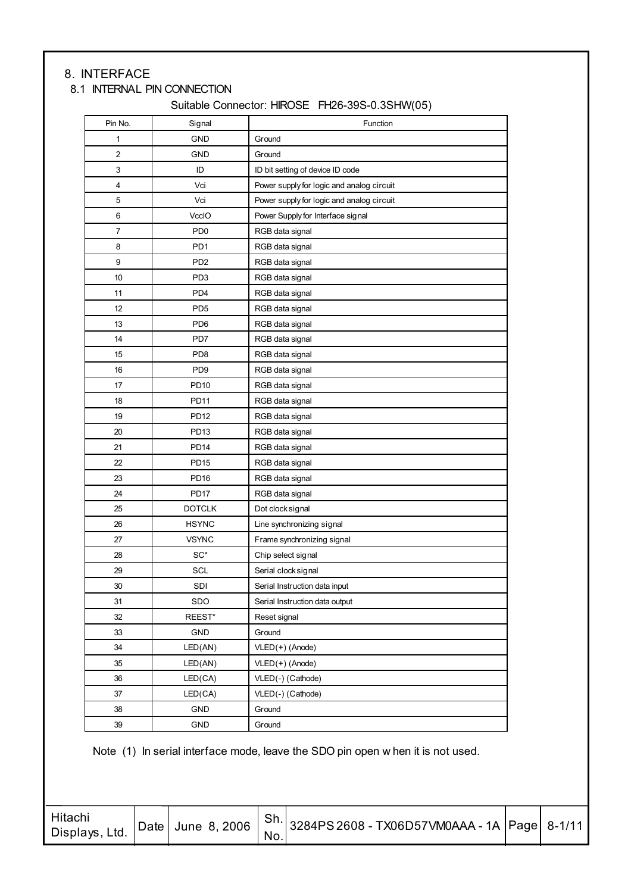## 8. INTERFACE

## 8.1 INTERNAL PIN CONNECTION

Suitable Connector: HIROSE FH26-39S-0.3SHW(05)

| Pin No.                 | Signal           | Function                                  |
|-------------------------|------------------|-------------------------------------------|
| 1                       | <b>GND</b>       | Ground                                    |
| $\overline{\mathbf{c}}$ | <b>GND</b>       | Ground                                    |
| 3                       | ID               | ID bit setting of device ID code          |
| 4                       | Vci              | Power supply for logic and analog circuit |
| 5                       | Vci              | Power supply for logic and analog circuit |
| 6                       | VccIO            | Power Supply for Interface signal         |
| 7                       | PD <sub>0</sub>  | RGB data signal                           |
| 8                       | PD <sub>1</sub>  | RGB data signal                           |
| 9                       | PD <sub>2</sub>  | RGB data signal                           |
| 10                      | PD <sub>3</sub>  | RGB data signal                           |
| 11                      | PD <sub>4</sub>  | RGB data signal                           |
| 12                      | PD <sub>5</sub>  | RGB data signal                           |
| 13                      | PD <sub>6</sub>  | RGB data signal                           |
| 14                      | PD7              | RGB data signal                           |
| 15                      | PD <sub>8</sub>  | RGB data signal                           |
| 16                      | PD <sub>9</sub>  | RGB data signal                           |
| 17                      | PD10             | RGB data signal                           |
| 18                      | <b>PD11</b>      | RGB data signal                           |
| 19                      | <b>PD12</b>      | RGB data signal                           |
| 20                      | PD <sub>13</sub> | RGB data signal                           |
| 21                      | <b>PD14</b>      | RGB data signal                           |
| 22                      | <b>PD15</b>      | RGB data signal                           |
| 23                      | <b>PD16</b>      | RGB data signal                           |
| 24                      | <b>PD17</b>      | RGB data signal                           |
| 25                      | <b>DOTCLK</b>    | Dot clock signal                          |
| 26                      | <b>HSYNC</b>     | Line synchronizing signal                 |
| 27                      | <b>VSYNC</b>     | Frame synchronizing signal                |
| 28                      | $SC^*$           | Chip select signal                        |
| 29                      | SCL              | Serial clock signal                       |
| 30                      | SDI              | Serial Instruction data input             |
| 31                      | SDO              | Serial Instruction data output            |
| 32                      | REEST*           | Reset signal                              |
| 33                      | GND              | Ground                                    |
| 34                      | LED(AN)          | $VLED(+)$ (Anode)                         |
| 35                      | LED(AN)          | $VLED(+)$ (Anode)                         |
| 36                      | LED(CA)          | VLED(-) (Cathode)                         |
| 37                      | LED(CA)          | VLED(-) (Cathode)                         |
| 38                      | GND              | Ground                                    |
| 39                      | GND              | Ground                                    |

Note (1) In serial interface mode, leave the SDO pin open w hen it is not used.

| Hitachi<br>Displays, Ltd. |  |  | No. | $\vert$ Date $\vert$ June 8, 2006 $\vert$ Sh. 3284PS 2608 - TX06D57VM0AAA - 1A Page 8-1/11 |  |  |
|---------------------------|--|--|-----|--------------------------------------------------------------------------------------------|--|--|
|---------------------------|--|--|-----|--------------------------------------------------------------------------------------------|--|--|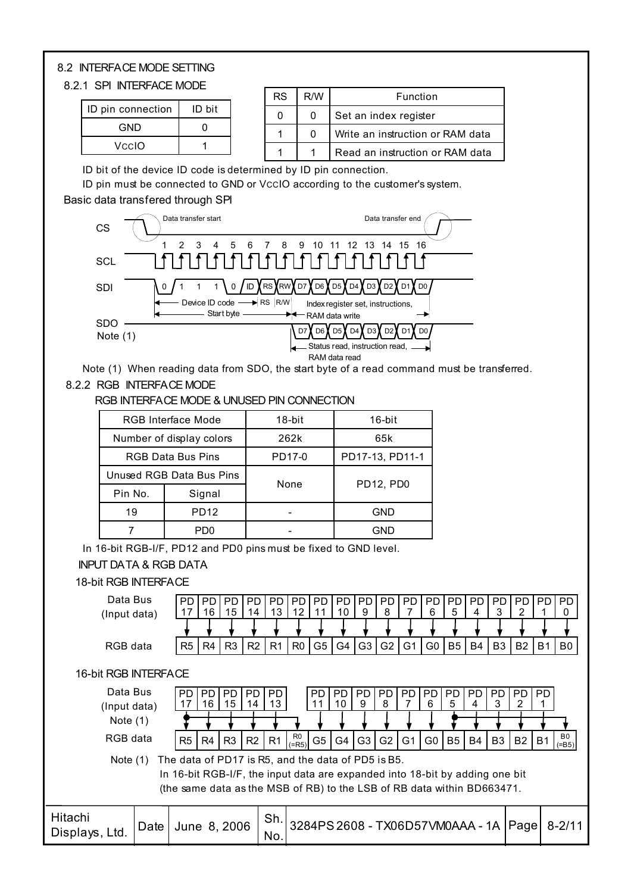#### 8.2 INTERFACE MODE SETTING

#### 8.2.1 SPI INTERFACE MODE

| ID pin connection | ID bit |
|-------------------|--------|
| GND               |        |
| VeelO             |        |

| <b>RS</b> | R/W | Function                         |  |  |  |  |  |  |
|-----------|-----|----------------------------------|--|--|--|--|--|--|
|           | 0   | Set an index register            |  |  |  |  |  |  |
|           | Ω   | Write an instruction or RAM data |  |  |  |  |  |  |
|           |     | Read an instruction or RAM data  |  |  |  |  |  |  |

ID bit of the device ID code is determined by ID pin connection.

ID pin must be connected to GND or VccIO according to the customer's system.

Basic data transfered through SPI



Note (1) When reading data from SDO, the start byte of a read command must be transferred.

#### 8.2.2 RGB INTERFACE MODE

RGB INTERFACE MODE & UNUSED PIN CONNECTION

|         | <b>RGB Interface Mode</b> | 18-bit | 16-bit          |
|---------|---------------------------|--------|-----------------|
|         | Number of display colors  | 262k   | 65k             |
|         | <b>RGB Data Bus Pins</b>  | PD17-0 | PD17-13, PD11-1 |
|         | Unused RGB Data Bus Pins  |        |                 |
| Pin No. | Signal                    | None   | PD12, PD0       |
| 19      | <b>PD12</b>               |        | GND             |
|         | PD0                       |        | GND             |

In 16-bit RGB-I/F, PD12 and PD0 pins must be fixed to GND level.

#### INPUT DATA & RGB DATA

#### 18-bit RGB INTERFACE

| Data Bus                  |      | PD.<br>17                                                                                                                                                                                                     | PD<br>16       | PD<br>15        | <b>PD</b><br>14 | <b>PD</b><br>13 | <b>PD</b><br>12 | <b>PD</b><br>11 | <b>PD</b><br>10 | <b>PD</b><br>9 | <b>PD</b><br>8 | PD.                              | <b>PD</b><br>6 | <b>PD</b><br>5 | <b>PD</b><br>4 | PD<br>3        | <b>PD</b><br>2 | PD.            | PD.<br>0           |
|---------------------------|------|---------------------------------------------------------------------------------------------------------------------------------------------------------------------------------------------------------------|----------------|-----------------|-----------------|-----------------|-----------------|-----------------|-----------------|----------------|----------------|----------------------------------|----------------|----------------|----------------|----------------|----------------|----------------|--------------------|
| (Input data)              |      |                                                                                                                                                                                                               |                |                 |                 |                 |                 |                 |                 |                |                |                                  |                |                |                |                |                |                |                    |
| RGB data                  |      | R <sub>5</sub>                                                                                                                                                                                                | R4             | R <sub>3</sub>  | R <sub>2</sub>  | R <sub>1</sub>  | R <sub>0</sub>  | G <sub>5</sub>  | G4              | G <sub>3</sub> | G <sub>2</sub> | G <sub>1</sub>                   | G0             | B <sub>5</sub> | B4             | B <sub>3</sub> | <b>B2</b>      | B <sub>1</sub> | B0                 |
| 16-bit RGB INTERFACE      |      |                                                                                                                                                                                                               |                |                 |                 |                 |                 |                 |                 |                |                |                                  |                |                |                |                |                |                |                    |
| Data Bus<br>(Input data)  |      | <b>PD</b>                                                                                                                                                                                                     | PD.<br>16      | <b>PD</b><br>15 | <b>PD</b><br>14 | PD.<br>13       |                 | PD<br>11        | <b>PD</b><br>10 | <b>PD</b><br>9 | <b>PD</b><br>8 | <b>PD</b>                        | <b>PD</b><br>6 | PD.<br>5       | <b>PD</b><br>4 | <b>PD</b><br>3 | PD.            | <b>PD</b>      |                    |
| Note $(1)$                |      |                                                                                                                                                                                                               |                |                 |                 |                 |                 |                 |                 |                |                |                                  |                |                |                |                |                |                |                    |
| RGB data                  |      | R <sub>5</sub>                                                                                                                                                                                                | R <sub>4</sub> | R <sub>3</sub>  | R <sub>2</sub>  | R <sub>1</sub>  | R0<br>(FR5)     | G <sub>5</sub>  | G4              | G <sub>3</sub> | G <sub>2</sub> | G <sub>1</sub>                   | G0             | B <sub>5</sub> | B4             | B <sub>3</sub> | B <sub>2</sub> | B <sub>1</sub> | B0<br>$(=\beta 5)$ |
| Note $(1)$                |      | The data of PD17 is R5, and the data of PD5 is B5.<br>In 16-bit RGB-I/F, the input data are expanded into 18-bit by adding one bit<br>(the same data as the MSB of RB) to the LSB of RB data within BD663471. |                |                 |                 |                 |                 |                 |                 |                |                |                                  |                |                |                |                |                |                |                    |
| Hitachi<br>Displays, Ltd. | Date | June 8, 2006                                                                                                                                                                                                  |                |                 |                 | Sh.<br>No.      |                 |                 |                 |                |                | 3284PS 2608 - TX06D57VM0AAA - 1A |                |                |                |                | Page           |                | $8 - 2/11$         |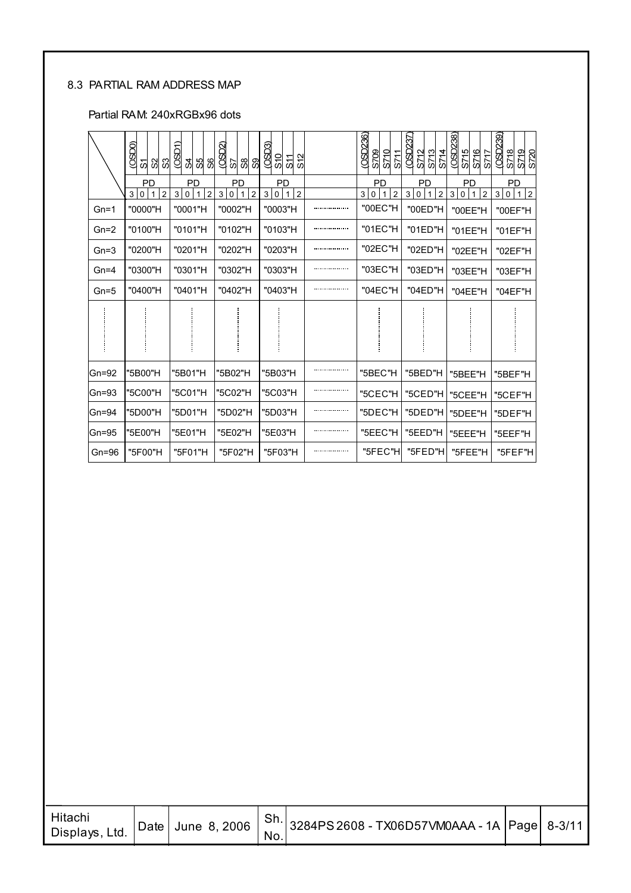#### 8.3 PARTIAL RAM ADDRESS MAP

#### Partial RAM: 240xRGBx96 dots

|           | (05D)<br>အ<br>ଅ<br>5                                     | (OSD1)<br>প্ৰ<br>SS<br>8                         | $($ OSD $2$<br>%<br>S7<br>ၷ                    | (05D)<br>S12<br>$\frac{5}{10}$<br>S11                             | (OSD236)<br><b>S709</b><br>S710<br>S71                      | <b>CSD237</b><br>S713<br>S714<br>S712                               | (OSD238)<br>S715<br>S716<br>S717                           | (OSD239)<br>S720<br>S718<br>S719                                |
|-----------|----------------------------------------------------------|--------------------------------------------------|------------------------------------------------|-------------------------------------------------------------------|-------------------------------------------------------------|---------------------------------------------------------------------|------------------------------------------------------------|-----------------------------------------------------------------|
|           | PD<br>$\overline{2}$<br>3<br>$\mathbf 0$<br>$\mathbf{1}$ | <b>PD</b><br>3 0 <br>$\overline{2}$<br>$\vert$ 1 | PD<br>3<br>$\overline{2}$<br>$\mathbf 0$<br>-1 | <b>PD</b><br>$\overline{2}$<br>3 <sup>1</sup><br>$\mathbf 0$<br>1 | PD<br>3 <sup>1</sup><br>$\overline{2}$<br>0<br>$\mathbf{1}$ | PD<br>$\overline{2}$<br>$\mathbf{3}$<br>$\mathbf 0$<br>$\mathbf{1}$ | <b>PD</b><br>$1 \vert 2$<br>$\mathbf{3}$<br>$\overline{0}$ | <b>PD</b><br>$ 2\rangle$<br>3<br>$\overline{0}$<br>$\mathbf{1}$ |
| $Gn=1$    | "0000"H                                                  | "0001"H                                          | "0002"H                                        | "0003"H                                                           | "00EC"H                                                     | "00ED"H                                                             | "00EE"H                                                    | "00EF"H                                                         |
| $Gn=2$    | "0100"H                                                  | "0101"H                                          | "0102"H                                        | "0103"H                                                           | "01EC"H                                                     | "01ED"H                                                             | "01EE"H                                                    | "01EF"H                                                         |
| $Gn=3$    | "0200"H                                                  | "0201"H                                          | "0202"H                                        | "0203"H                                                           | "02EC"H                                                     | "02ED"H                                                             | "02EE"H                                                    | "02EF"H                                                         |
| $Gn=4$    | "0300"H                                                  | "0301"H                                          | "0302"H                                        | "0303"H                                                           | "03EC"H                                                     | "03ED"H                                                             | "03EE"H                                                    | "03EF"H                                                         |
| $Gn=5$    | "0400"H                                                  | "0401"H                                          | "0402"H                                        | "0403"H                                                           | "04EC"H                                                     | "04ED"H                                                             | "04EE"H                                                    | "04EF"H                                                         |
|           |                                                          |                                                  |                                                |                                                                   |                                                             |                                                                     |                                                            |                                                                 |
| $Gn = 92$ | "5B00"H                                                  | "5B01"H                                          | "5B02"H                                        | "5B03"H                                                           | "5BEC"H                                                     | "5BED"H                                                             | "5BEE"H                                                    | "5BEF"H                                                         |
| $Gn = 93$ | "5C00"H                                                  | "5C01"H                                          | "5C02"H                                        | "5C03"H                                                           | "5CEC"H                                                     | "5CED"H                                                             | "5CEE"H                                                    | "5CEF"H                                                         |
| $Gn = 94$ | "5D00"H                                                  | "5D01"H                                          | "5D02"H                                        | "5D03"H                                                           | "5DEC"H                                                     | "5DED"H                                                             | "5DEE"H                                                    | "5DEF"H                                                         |
| $Gn = 95$ | "5E00"H                                                  | "5E01"H                                          | "5E02"H                                        | "5E03"H                                                           | "5EEC"H                                                     | "5EED"H                                                             | "5EEE"H                                                    | "5EEF"H                                                         |
| $Gn = 96$ | "5F00"H                                                  | "5F01"H                                          | "5F02"H                                        | "5F03"H                                                           | "5FEC"H                                                     | "5FED"H                                                             | "5FEE"H                                                    | "5FEF"H                                                         |

| Hitachi<br>Displays, Ltd. |  |  | No. | Date June 8, 2006   Sh. 3284PS 2608 - TX06D57VM0AAA - 1A Page 8-3/11 |  |  |
|---------------------------|--|--|-----|----------------------------------------------------------------------|--|--|
|---------------------------|--|--|-----|----------------------------------------------------------------------|--|--|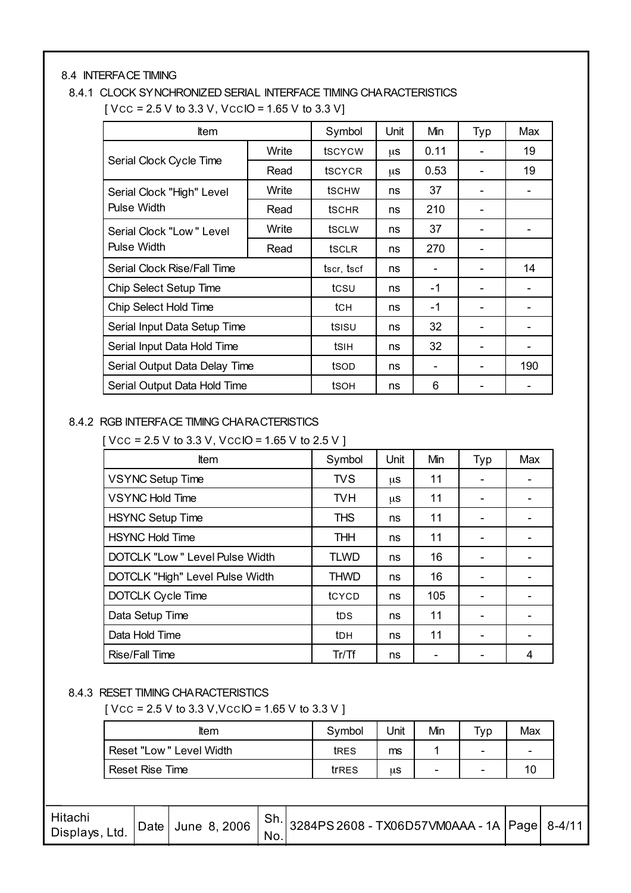#### 8.4 INTERFACE TIMING

# 8.4.1 CLOCK SYNCHRONIZED SERIAL INTERFACE TIMING CHARACTERISTICS

| <b>Item</b>                   |       | Symbol          | <b>Unit</b> | Min  | Typ | Max |
|-------------------------------|-------|-----------------|-------------|------|-----|-----|
|                               | Write | tscycw          | μS          | 0.11 |     | 19  |
| Serial Clock Cycle Time       | Read  | tscycr          | μS          | 0.53 |     | 19  |
| Serial Clock "High" Level     | Write | <b>t</b> schw   | ns          | 37   |     |     |
| <b>Pulse Width</b>            | Read  | tschr           | ns          | 210  |     |     |
| Serial Clock "Low" Level      | Write | tsclw           | ns          | 37   |     |     |
| Pulse Width                   | Read  | tsclr           | ns          | 270  |     |     |
| Serial Clock Rise/Fall Time   |       | tscr, tscf      | ns          |      |     | 14  |
| Chip Select Setup Time        |       | tcsu            | ns          | $-1$ |     |     |
| Chip Select Hold Time         |       | tc <sub>H</sub> | ns          | $-1$ |     |     |
| Serial Input Data Setup Time  | tsisu | ns              | 32          |      |     |     |
| Serial Input Data Hold Time   |       | tsih            | ns          | 32   |     |     |
| Serial Output Data Delay Time | tsop  | ns              |             |      | 190 |     |
| Serial Output Data Hold Time  |       | tsoh            | ns          | 6    |     |     |

#### 8.4.2 RGB INTERFACE TIMING CHARACTERISTICS

 $[$  Vcc = 2.5 V to 3.3 V, VccIO = 1.65 V to 2.5 V ]

| <b>t</b> tem                    | Symbol          | Unit | Min | Typ | Max |
|---------------------------------|-----------------|------|-----|-----|-----|
| <b>VSYNC Setup Time</b>         | <b>TVS</b>      | μS   | 11  |     |     |
| <b>VSYNC Hold Time</b>          | <b>TVH</b>      | μS   | 11  |     |     |
| <b>HSYNC Setup Time</b>         | <b>THS</b>      | ns   | 11  |     |     |
| <b>HSYNC Hold Time</b>          | <b>THH</b>      | ns   | 11  |     |     |
| DOTCLK "Low" Level Pulse Width  | <b>TLWD</b>     | ns   | 16  |     |     |
| DOTCLK "High" Level Pulse Width | <b>THWD</b>     | ns   | 16  |     |     |
| <b>DOTCLK Cycle Time</b>        | tcycp           | ns   | 105 |     |     |
| Data Setup Time                 | tds             | ns   | 11  |     |     |
| Data Hold Time                  | t <sub>DH</sub> | ns   | 11  |     |     |
| Rise/Fall Time                  | Tr/Tf           | ns   |     |     | 4   |

#### 8.4.3 RESET TIMING CHARACTERISTICS

 $[$  Vcc = 2.5 V to 3.3 V, VccIO = 1.65 V to 3.3 V ]

| ltem                    | Symbol | Jnit | Min                      | Typ. | Max                      |
|-------------------------|--------|------|--------------------------|------|--------------------------|
| Reset "Low" Level Width | tres   | ms   |                          | -    | $\overline{\phantom{a}}$ |
| Reset Rise Time         | trres  | μS   | $\overline{\phantom{a}}$ | -    |                          |

| Hitachi<br>Displays, Ltd. |  |  | No. | Date June 8, 2006   Sh. 3284PS 2608 - TX06D57VM0AAA - 1A Page 8-4/11 |  |  |
|---------------------------|--|--|-----|----------------------------------------------------------------------|--|--|
|---------------------------|--|--|-----|----------------------------------------------------------------------|--|--|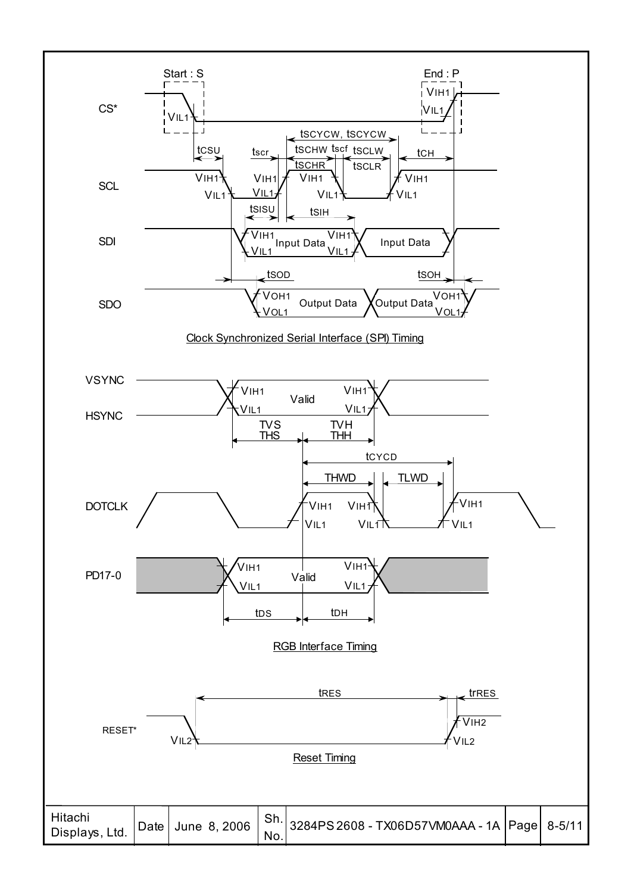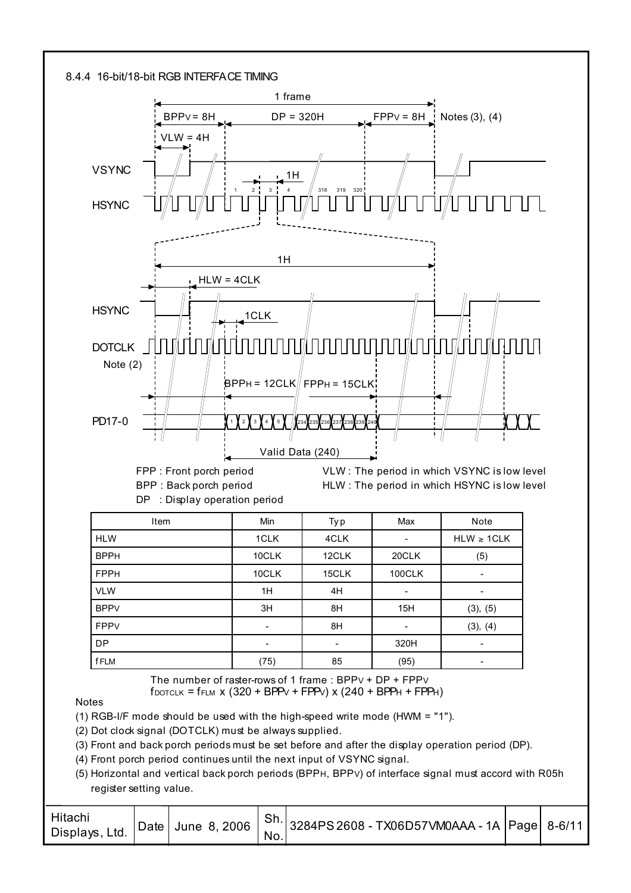

FPP : Front porch period BPP : Back porch period DP : Display operation period

VLW : The period in which VSYNC is low level HLW : The period in which HSYNC is low level

| <b>Item</b> | Min                      | Ty p  | Max                      | Note            |
|-------------|--------------------------|-------|--------------------------|-----------------|
| <b>HLW</b>  | 1CLK                     | 4CLK  | $\overline{\phantom{a}}$ | $HLW \geq 1CLK$ |
| <b>BPPH</b> | 10CLK                    | 12CLK | 20CLK                    | (5)             |
| <b>FPPH</b> | 10CLK                    | 15CLK | <b>100CLK</b>            | ۰.              |
| <b>VLW</b>  | 1H                       | 4H    | $\overline{\phantom{a}}$ | -               |
| <b>BPPV</b> | 3H                       | 8H    | 15H                      | (3), (5)        |
| <b>FPPV</b> | $\overline{\phantom{a}}$ | 8H    |                          | (3), (4)        |
| <b>DP</b>   |                          |       | 320H                     | -               |
| <b>fFLM</b> | (75)                     | 85    | (95)                     | -               |

 $f_{DOTCLK} = f_{FLM}$  x (320 + BPP $V$  + FPP $V$ ) x (240 + BPP $H$  + FPP $H$ ) The number of raster-rows of 1 frame : BPPV + DP + FPPV

**Notes** 

(1) RGB-I/F mode should be used with the high-speed write mode (HWM = "1").

(2) Dot clock signal (DOTCLK) must be always supplied.

(3) Front and back porch periods must be set before and after the display operation period (DP).

(4) Front porch period continues until the next input of VSYNC signal.

(5) Horizontal and vertical back porch periods (BPPH, BPPV) of interface signal must accord with R05h register setting value.

| Hitachi<br>Displays,<br>Ltd. |  | C <sub>h</sub><br>No. | Date   June 8, 2006   <sup>SII.</sup> 3284PS 2608 - TX06D57VM0AAA - 1A  Page   8-6/11 |  |
|------------------------------|--|-----------------------|---------------------------------------------------------------------------------------|--|
|                              |  |                       |                                                                                       |  |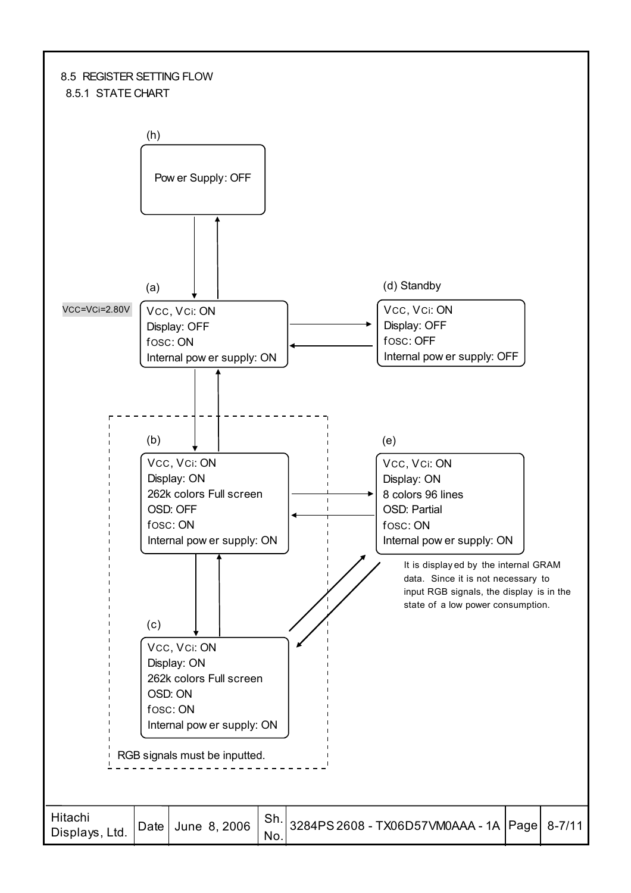#### 8.5 REGISTER SETTING FLOW 8.5.1 STATE CHART

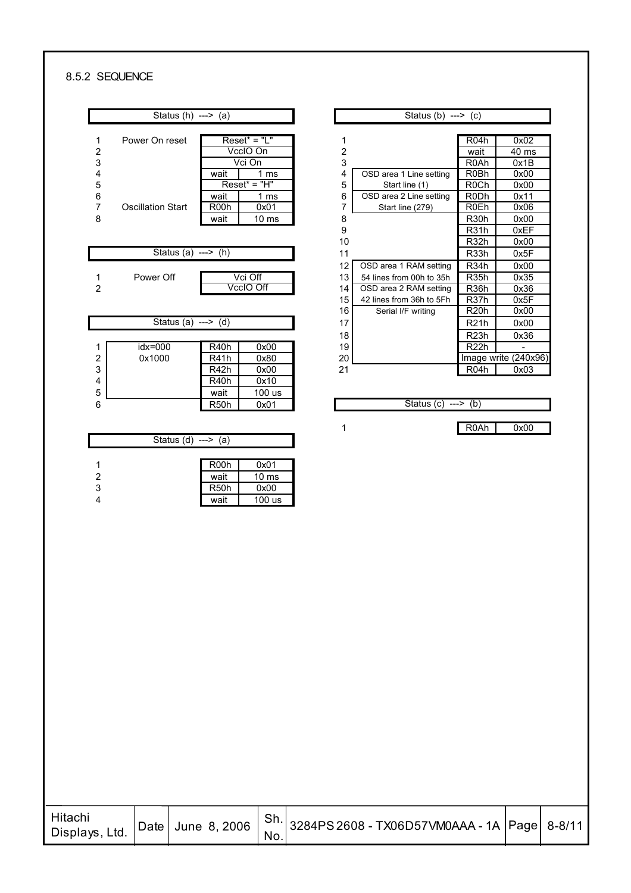#### 8.5.2 SEQUENCE

|                         | Status $(h)$ ---> $(a)$      |                           |                  | Status (b) $\overline{\cdots}$ (c) |                   |                   |
|-------------------------|------------------------------|---------------------------|------------------|------------------------------------|-------------------|-------------------|
|                         |                              |                           |                  |                                    |                   |                   |
| 1                       | Power On reset               | $Reset^* = "L"$           | 1                |                                    | R04h              | 0x02              |
| $\overline{c}$          |                              | VccIO On                  | $\overline{c}$   |                                    | wait              | 40 ms             |
| 3                       |                              | Vci On                    | 3                |                                    | R <sub>0</sub> Ah | 0x1B              |
| $\overline{\mathbf{4}}$ |                              | wait<br>1 ms              | 4                | OSD area 1 Line setting            | R <sub>0</sub> Bh | 0x00              |
| 5                       |                              | $Reset^* = "H"$           | 5                | Start line (1)                     | R <sub>0</sub> Ch | 0x00              |
| 6                       |                              | wait<br>1 <sub>ms</sub>   | 6                | OSD area 2 Line setting            | R <sub>0</sub> Dh | 0x11              |
| $\overline{7}$          | <b>Oscillation Start</b>     | 0x01<br>R <sub>00</sub> h | 7                | Start line (279)                   | R <sub>0</sub> Eh | 0x06              |
| 8                       |                              | $10$ ms<br>wait           | 8                |                                    | <b>R30h</b>       | 0x00              |
|                         |                              |                           | 9                |                                    | R <sub>31</sub> h | 0xEF              |
|                         |                              |                           | 10               |                                    | R <sub>32</sub> h | 0x00              |
|                         | Status (a) $\rightarrow$ (h) |                           | 11               |                                    | R <sub>33</sub> h | 0x5F              |
|                         |                              |                           | 12 <sup>2</sup>  | OSD area 1 RAM setting             | R <sub>34</sub> h | 0x00              |
| 1                       | Power Off                    | Vci Off                   | 13               | 54 lines from 00h to 35h           | R <sub>35</sub> h | 0x35              |
| $\overline{2}$          |                              | VccIO Off                 | 14               | OSD area 2 RAM setting             | R <sub>36</sub> h | 0x36              |
|                         |                              |                           | 15 <sup>15</sup> | 42 lines from 36h to 5Fh           | R <sub>37</sub> h | 0x5F              |
|                         |                              |                           | 16               | Serial I/F writing                 | R <sub>20</sub> h | 0x00              |
|                         | Status (a) ---> $(d)$        |                           | 17               |                                    | <b>R21h</b>       | 0x00              |
|                         |                              |                           | 18               |                                    | R <sub>23</sub> h | 0x36              |
| 1                       | $idx = 000$                  | R <sub>40</sub> h<br>0x00 | 19               |                                    | R <sub>22</sub> h |                   |
| $\overline{2}$          | 0x1000                       | R41h<br>0x80              | 20               |                                    |                   | Image write (240x |
| 3                       |                              | R <sub>42</sub> h<br>0x00 | 21               |                                    | R <sub>04</sub> h | 0x03              |
| 4                       |                              | 0x10<br>R <sub>40</sub> h |                  |                                    |                   |                   |
| 5                       |                              | wait<br>100 us            |                  |                                    |                   |                   |
| 6                       |                              | R <sub>50</sub> h<br>0x01 |                  | Status $(c)$ ---> $(b)$            |                   |                   |
|                         |                              |                           |                  |                                    |                   |                   |
|                         |                              |                           | 1                |                                    | R <sub>0</sub> Ah | 0x00              |
|                         | Status $(d)$ ---> $(a)$      |                           |                  |                                    |                   |                   |
|                         |                              |                           |                  |                                    |                   |                   |
| 1                       |                              | R <sub>00</sub> h<br>0x01 |                  |                                    |                   |                   |
| $\overline{\mathbf{c}}$ |                              | wait<br>10 <sub>ms</sub>  |                  |                                    |                   |                   |
| 3                       |                              | 0x00<br>R <sub>50</sub> h |                  |                                    |                   |                   |
| 4                       |                              | wait<br>100 us            |                  |                                    |                   |                   |
|                         |                              |                           |                  |                                    |                   |                   |

|   | Status $(h)$ ---> $(a)$  |                           |    | Status (b) $\rightarrow$ (c) |                   |                      |
|---|--------------------------|---------------------------|----|------------------------------|-------------------|----------------------|
|   |                          |                           |    |                              |                   |                      |
| 1 | Power On reset           | $Reset^* = "L"$           |    |                              | R <sub>04</sub> h | 0x02                 |
| 2 |                          | VccIO On                  | 2  |                              | wait              | 40 ms                |
| 3 |                          | Vci On                    | 3  |                              | R <sub>0</sub> Ah | 0x1B                 |
| 4 |                          | wait<br>1 ms              | 4  | OSD area 1 Line setting      | R <sub>0</sub> Bh | 0x00                 |
| 5 |                          | $Reset^* = "H"$           | 5  | Start line (1)               | R <sub>0</sub> Ch | 0x00                 |
| 6 |                          | wait<br>1 ms              | 6  | OSD area 2 Line setting      | R <sub>0</sub> Dh | 0x11                 |
| 7 | <b>Oscillation Start</b> | R <sub>00</sub> h<br>0x01 |    | Start line (279)             | <b>R0Eh</b>       | 0x06                 |
| 8 |                          | 10 <sub>ms</sub><br>wait  | 8  |                              | R <sub>30</sub> h | 0x00                 |
|   |                          |                           | 9  |                              | R <sub>31</sub> h | 0xEF                 |
|   |                          |                           | 10 |                              | R <sub>32</sub> h | 0x00                 |
|   | Status (a) $---$ (h)     |                           | 11 |                              | R <sub>33</sub> h | 0x5F                 |
|   |                          |                           | 12 | OSD area 1 RAM setting       | R <sub>34</sub> h | 0x00                 |
| 1 | Power Off                | Vci Off                   | 13 | 54 lines from 00h to 35h     | <b>R35h</b>       | 0x35                 |
| 2 |                          | VccIO Off                 | 14 | OSD area 2 RAM setting       | R <sub>36</sub> h | 0x36                 |
|   |                          |                           | 15 | 42 lines from 36h to 5Fh     | R <sub>37</sub> h | 0x5F                 |
|   |                          |                           | 16 | Serial I/F writing           | R <sub>20</sub> h | 0x00                 |
|   | Status (a) $---$ (d)     |                           | 17 |                              | <b>R21h</b>       | 0x00                 |
|   |                          |                           | 18 |                              | R <sub>23</sub> h | 0x36                 |
| 1 | $idx = 000$              | R <sub>40</sub> h<br>0x00 | 19 |                              | <b>R22h</b>       |                      |
| 2 | 0x1000                   | R41h<br>0x80              | 20 |                              |                   | Image write (240x96) |
| 3 |                          | R42h<br>0x00              | 21 |                              | R <sub>04</sub> h | 0x03                 |
| 4 |                          | R40h<br>0x10              |    |                              |                   |                      |

| Hitachi<br>Displays, Ltd. |  | No. | Date June 8, 2006   Sh. 3284PS 2608 - TX06D57VM0AAA - 1A Page 8-8/11 |  |
|---------------------------|--|-----|----------------------------------------------------------------------|--|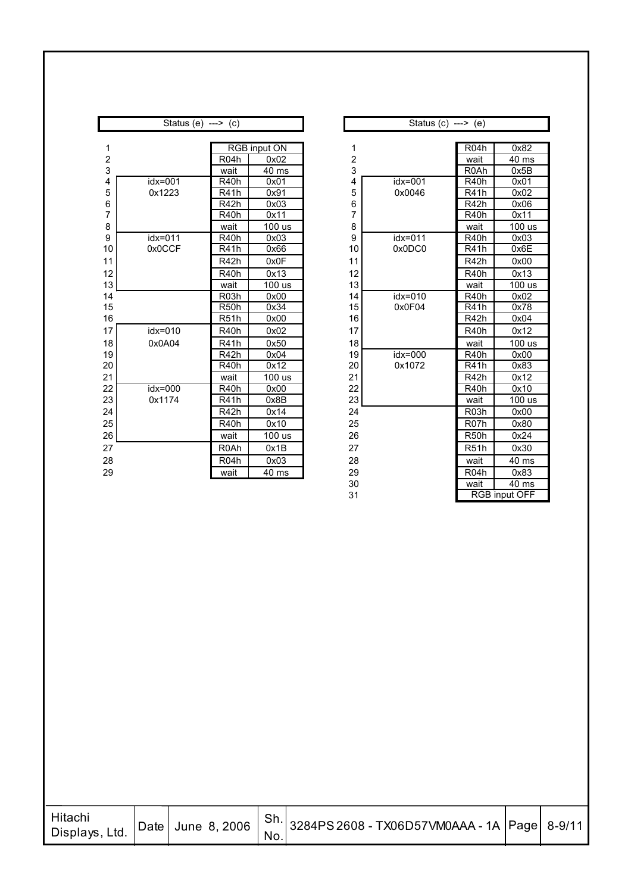|                | Status (e) $---$ (c) |                   |                     |                  | Status $(c)$ ---> $(e)$ |                   |        |
|----------------|----------------------|-------------------|---------------------|------------------|-------------------------|-------------------|--------|
|                |                      |                   |                     |                  |                         |                   |        |
| 1              |                      |                   | <b>RGB</b> input ON | 1                |                         | R <sub>04</sub> h | 0x82   |
| 2              |                      | R <sub>04</sub> h | 0x02                | $\boldsymbol{2}$ |                         | wait              | 40 ms  |
| 3              |                      | wait              | $\overline{4}0$ ms  | 3                |                         | R <sub>0</sub> Ah | 0x5B   |
| 4              | idx=001              | R <sub>40</sub> h | 0x01                | 4                | $idx = 001$             | R <sub>40</sub> h | 0x01   |
| 5              | 0x1223               | R41h              | 0x91                | 5                | 0x0046                  | R41h              | 0x02   |
| 6              |                      | R42h              | 0x03                | 6                |                         | R42h              | 0x06   |
| $\overline{7}$ |                      | R40h              | 0x11                | $\overline{7}$   |                         | R <sub>40</sub> h | 0x11   |
| 8              |                      | wait              | 100 us              | 8                |                         | wait              | 100 us |
| 9              | $idx = 011$          | R <sub>40</sub> h | 0x03                | 9                | idx=011                 | <b>R40h</b>       | 0x03   |
| 10             | 0x0CCF               | R41h              | 0x66                | 10               | 0x0DC0                  | R41h              | 0x6E   |
| 11             |                      | R42h              | 0x0F                | 11               |                         | R <sub>42</sub> h | 0x00   |
| 12             |                      | R <sub>40</sub> h | 0x13                | 12               |                         | <b>R40h</b>       | 0x13   |
| 13             |                      | wait              | 100 us              | 13               |                         | wait              | 100 us |
| 14             |                      | R <sub>03</sub> h | 0x00                | 14               | $idx = 010$             | R <sub>40</sub> h | 0x02   |
| 15             |                      | R <sub>50</sub> h | 0x34                | 15               | 0x0F04                  | <b>R41h</b>       | 0x78   |
| 16             |                      | R <sub>51</sub> h | 0x00                | 16               |                         | R <sub>42</sub> h | 0x04   |
| 17             | $idx = 010$          | R <sub>40</sub> h | 0x02                | 17               |                         | R <sub>40</sub> h | 0x12   |
| 18             | 0x0A04               | <b>R41h</b>       | 0x50                | 18               |                         | wait              | 100 us |
| 19             |                      | R42h              | 0x04                | 19               | $idx = 000$             | <b>R40h</b>       | 0x00   |
| 20             |                      | R <sub>40</sub> h | 0x12                | 20               | 0x1072                  | <b>R41h</b>       | 0x83   |
| 21             |                      | wait              | 100 us              | 21               |                         | R <sub>42</sub> h | 0x12   |
| 22             | $idx = 000$          | R <sub>40</sub> h | 0x00                | 22               |                         | <b>R40h</b>       | 0x10   |
| 23             | 0x1174               | R41h              | 0x8B                | 23               |                         | wait              | 100 us |
| 24             |                      | R42h              | 0x14                | 24               |                         | R <sub>03</sub> h | 0x00   |
| 25             |                      | R <sub>40</sub> h | 0x10                | 25               |                         | R <sub>07</sub> h | 0x80   |
| 26             |                      | wait              | 100 us              | 26               |                         | R <sub>50</sub> h | 0x24   |
| 27             |                      | R <sub>0</sub> Ah | 0x1B                | 27               |                         | <b>R51h</b>       | 0x30   |
| 28             |                      | R <sub>04</sub> h | 0x03                | 28               |                         | wait              | 40 ms  |
| 29             |                      | wait              | 40 ms               | 29               |                         | R <sub>04</sub> h | 0x83   |

|                | Status $(c)$ ---> $(e)$ |                   |                      |
|----------------|-------------------------|-------------------|----------------------|
|                |                         |                   |                      |
| 1              |                         | R <sub>04</sub> h | 0x82                 |
| $\frac{2}{3}$  |                         | wait              | 40 ms                |
|                |                         | R0Ah              | 0x5B                 |
| 4              | idx=001                 | R40h              | 0x01                 |
| 5              | 0x0046                  | R41h              | 0x02                 |
| 6              |                         | R42h              | 0x06                 |
| $\overline{7}$ |                         | R40h              | 0x11                 |
| 8              |                         | wait              | 100 us               |
| 9              | idx=011                 | R40h              | 0x03                 |
| 10             | 0x0DC0                  | R41h              | 0x6E                 |
| 11             |                         | R42h              | 0x00                 |
| 12             |                         | R40h              | 0x13                 |
| 13             |                         | wait              | 100 us               |
| 14             | idx=010                 | R40h              | 0x02                 |
| 15             | 0x0F04                  | R41h              | 0x78                 |
| 16             |                         | R <sub>42</sub> h | 0x04                 |
| 17             |                         | R40h              | 0x12                 |
| 18             |                         | wait              | 100 us               |
| 19             | idx=000                 | R40h              | 0x00                 |
| 20             | 0x1072                  | R41h              | 0x83                 |
| 21             |                         | R42h              | 0x12                 |
| 22             |                         | R40h              | 0x10                 |
| 23             |                         | wait              | 100 us               |
| 24             |                         | R <sub>03</sub> h | 0x00                 |
| 25             |                         | R <sub>07</sub> h | 0x80                 |
| 26             |                         | R <sub>50</sub> h | 0x24                 |
| 27             |                         | <b>R51h</b>       | 0x30                 |
| 28             |                         | wait              | 40 ms                |
| 29             |                         | R <sub>04</sub> h | 0x83                 |
| 30             |                         | wait              | 40 ms                |
| 31             |                         |                   | <b>RGB input OFF</b> |

| <b>Hitachi</b><br>Displays, Ltd. |  | No. | Date June 8, 2006   Sh. 3284PS 2608 - TX06D57VM0AAA - 1A Page 8-9/11 |  |
|----------------------------------|--|-----|----------------------------------------------------------------------|--|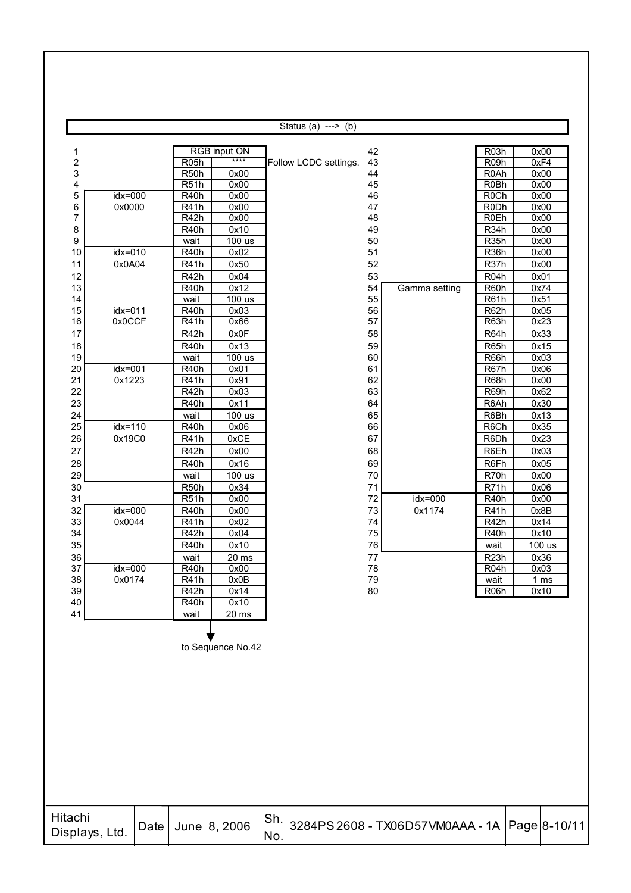|                |                   |      |                                  |                     |     | Status (a) ---> $(b)$ |          |                                               |                   |              |
|----------------|-------------------|------|----------------------------------|---------------------|-----|-----------------------|----------|-----------------------------------------------|-------------------|--------------|
| 1              |                   |      |                                  | <b>RGB</b> input ON |     |                       | 42       |                                               | R <sub>03</sub> h | 0x00         |
| 2              |                   |      | <b>R05h</b>                      | $***$               |     | Follow LCDC settings. | 43       |                                               | R <sub>09</sub> h | 0xF4         |
| 3              |                   |      | R <sub>50</sub> h                | 0x00                |     |                       | 44       |                                               | R <sub>0</sub> Ah | 0x00         |
| 4              |                   |      | R51h                             | 0x00                |     |                       | 45       |                                               | <b>R0Bh</b>       | 0x00         |
| 5              | $idx = 000$       |      | R40h                             | 0x00                |     |                       | 46       |                                               | <b>R0Ch</b>       | 0x00         |
| 6              | 0x0000            |      | R41h                             | 0x00                |     |                       | 47       |                                               | <b>RODh</b>       | 0x00         |
| 7              |                   |      | R <sub>42</sub> h                | 0x00                |     |                       | 48       |                                               | <b>R0Eh</b>       | 0x00         |
| 8              |                   |      | R40h                             | 0x10                |     |                       | 49       |                                               | R <sub>34</sub> h | 0x00         |
| 9              |                   |      | wait                             | 100 us              |     |                       | 50       |                                               | R <sub>35</sub> h | 0x00         |
| 10             | $idx = 010$       |      | R <sub>40</sub> h                | 0x02                |     |                       | 51       |                                               | <b>R36h</b>       | 0x00         |
| 11             | 0x0A04            |      | R41h                             | 0x50                |     |                       | 52       |                                               | R37h              | 0x00         |
| 12             |                   |      | R42h                             | 0x04                |     |                       | 53       |                                               | R <sub>04</sub> h | 0x01         |
| 13             |                   |      | R <sub>40</sub> h                | 0x12                |     |                       | 54       | Gamma setting                                 | R60h              | 0x74         |
| 14             |                   |      | wait                             | 100 us              |     |                       | 55       |                                               | R61h              | 0x51         |
| 15<br>16       | idx=011<br>0x0CCF |      | R <sub>40</sub> h<br><b>R41h</b> | 0x03<br>0x66        |     |                       | 56<br>57 |                                               | R62h<br>R63h      | 0x05<br>0x23 |
| 17             |                   |      | R42h                             | 0x0F                |     |                       | 58       |                                               | R64h              | 0x33         |
|                |                   |      |                                  |                     |     |                       |          |                                               |                   |              |
| 18<br>19       |                   |      | R40h                             | 0x13<br>100 us      |     |                       | 59<br>60 |                                               | R65h<br>R66h      | 0x15<br>0x03 |
| 20             | $idx = 001$       |      | wait<br>R <sub>40</sub> h        | 0x01                |     |                       | 61       |                                               | R67h              | 0x06         |
| 21             | 0x1223            |      | R41h                             | 0x91                |     |                       | 62       |                                               | R68h              | 0x00         |
| 22             |                   |      | R42h                             | 0x03                |     |                       | 63       |                                               | R69h              | 0x62         |
| 23             |                   |      | R <sub>40</sub> h                | 0x11                |     |                       | 64       |                                               | R6Ah              | 0x30         |
| 24             |                   |      | wait                             | 100 us              |     |                       | 65       |                                               | R6Bh              | 0x13         |
| 25             | $idx = 110$       |      | R40h                             | 0x06                |     |                       | 66       |                                               | R6Ch              | 0x35         |
| 26             | 0x19C0            |      | R41h                             | 0xCE                |     |                       | 67       |                                               | R6Dh              | 0x23         |
| 27             |                   |      | R42h                             | 0x00                |     |                       | 68       |                                               | R6Eh              | 0x03         |
| 28             |                   |      | R <sub>40</sub> h                | 0x16                |     |                       | 69       |                                               | R6Fh              | 0x05         |
| 29             |                   |      | wait                             | 100 us              |     |                       | 70       |                                               | R70h              | 0x00         |
| 30             |                   |      | R <sub>50</sub> h                | 0x34                |     |                       | 71       |                                               | R71h              | 0x06         |
| 31             |                   |      | <b>R51h</b>                      | 0x00                |     |                       | 72       | idx=000                                       | R40h              | 0x00         |
| 32             | $idx = 000$       |      | R40h                             | 0x00                |     |                       | 73       | 0x1174                                        | R41h              | 0x8B         |
| 33             | 0x0044            |      | R41h                             | 0x02                |     |                       | 74       |                                               | R42h              | 0x14         |
| 34             |                   |      | R42h                             | 0x04                |     |                       | 75       |                                               | R <sub>40</sub> h | 0x10         |
| 35             |                   |      | R40h                             | 0x10                |     |                       | 76       |                                               | wait              | 100 us       |
| 36             |                   |      | wait                             | $20$ ms             |     |                       | 77       |                                               | R <sub>23</sub> h | 0x36         |
| 37             | idx=000           |      | R <sub>40</sub> h                | 0x00                |     |                       | 78       |                                               | R <sub>04</sub> h | 0x03         |
| 38             | 0x0174            |      | R41h                             | 0x0B                |     |                       | 79       |                                               | wait              | <u>1 ms</u>  |
| 39             |                   |      | R <sub>42</sub> h                | 0x14                |     |                       | 80       |                                               | R <sub>06</sub> h | 0x10         |
| 40             |                   |      | R <sub>40</sub> h                | 0x10                |     |                       |          |                                               |                   |              |
| 41             |                   |      | wait                             | 20 ms               |     |                       |          |                                               |                   |              |
|                |                   |      |                                  |                     |     |                       |          |                                               |                   |              |
|                |                   |      |                                  | to Sequence No.42   |     |                       |          |                                               |                   |              |
|                |                   |      |                                  |                     |     |                       |          |                                               |                   |              |
|                |                   |      |                                  |                     |     |                       |          |                                               |                   |              |
|                |                   |      |                                  |                     |     |                       |          |                                               |                   |              |
|                |                   |      |                                  |                     |     |                       |          |                                               |                   |              |
|                |                   |      |                                  |                     |     |                       |          |                                               |                   |              |
|                |                   |      |                                  |                     |     |                       |          |                                               |                   |              |
|                |                   |      |                                  |                     |     |                       |          |                                               |                   |              |
|                |                   |      |                                  |                     |     |                       |          |                                               |                   |              |
|                |                   |      |                                  |                     |     |                       |          |                                               |                   |              |
|                |                   |      |                                  |                     |     |                       |          |                                               |                   |              |
|                |                   |      |                                  |                     |     |                       |          |                                               |                   |              |
|                |                   |      |                                  |                     |     |                       |          |                                               |                   |              |
|                |                   |      |                                  |                     |     |                       |          |                                               |                   |              |
| Hitachi        |                   |      |                                  |                     | Sh. |                       |          |                                               |                   |              |
| Displays, Ltd. |                   | Date |                                  | June 8, 2006        |     |                       |          | 3284PS 2608 - TX06D57VM0AAA - 1A Page 8-10/11 |                   |              |
|                |                   |      |                                  |                     | No. |                       |          |                                               |                   |              |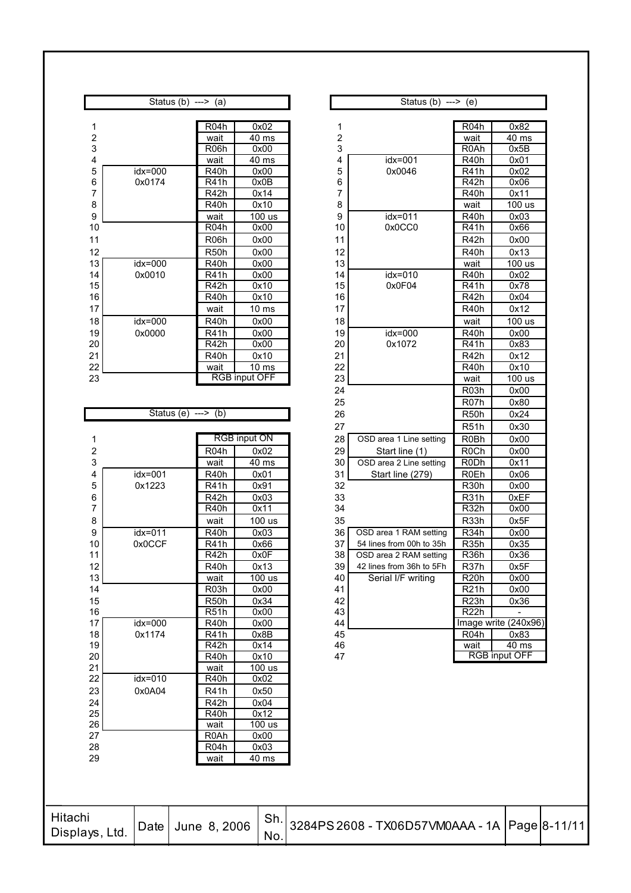|                         | Status (b) ---> (a)  |                           |                            |                         | Status $(b)$ ---> $(e)$                   |                                  |                      |
|-------------------------|----------------------|---------------------------|----------------------------|-------------------------|-------------------------------------------|----------------------------------|----------------------|
|                         |                      |                           |                            |                         |                                           |                                  |                      |
| 1                       |                      | R <sub>04</sub> h         | 0x02                       | 1                       |                                           | R <sub>04</sub> h                | 0x82                 |
| $\overline{\mathbf{c}}$ |                      | wait                      | 40 ms                      | $\overline{\mathbf{c}}$ |                                           | wait<br>R <sub>0</sub> Ah        | 40 ms                |
| 3<br>4                  |                      | R <sub>06</sub> h<br>wait | 0x00<br>$\overline{40}$ ms | 3<br>4                  | $idx = 001$                               | R <sub>40</sub> h                | 0x5B<br>0x01         |
| 5                       | idx=000              | R <sub>40</sub> h         | 0x00                       | 5                       | 0x0046                                    | R41h                             | 0x02                 |
| 6                       | 0x0174               | R41h                      | 0x0B                       | 6                       |                                           | R42h                             | 0x06                 |
| $\overline{7}$          |                      | R42h                      | 0x14                       | 7                       |                                           | R40h                             | 0x11                 |
| 8                       |                      | R40h                      | 0x10                       | 8                       |                                           | wait                             | $\overline{100}$ us  |
| 9                       |                      | wait                      | 100 us                     | 9                       | $idx = 011$                               | R <sub>40</sub> h                | 0x03                 |
| 10                      |                      | R <sub>04</sub> h         | 0x00                       | 10                      | 0x0CC0                                    | R41h                             | 0x66                 |
| 11                      |                      | R <sub>06</sub> h         | 0x00                       | 11                      |                                           | R42h                             | 0x00                 |
| 12                      |                      | R <sub>50</sub> h         | 0x00                       | 12                      |                                           | <b>R40h</b>                      | 0x13                 |
| 13                      | $idx = 000$          | R <sub>40</sub> h         | 0x00                       | 13                      |                                           | wait                             | $100$ us             |
| 14                      | 0x0010               | R41h                      | 0x00                       | 14                      | $idx = 010$                               | R40h                             | 0x02                 |
| 15                      |                      | R42h                      | 0x10                       | 15                      | 0x0F04                                    | R41h                             | 0x78                 |
| 16                      |                      | R40h                      | 0x10                       | 16                      |                                           | R42h                             | 0x04                 |
| 17                      |                      | wait                      | 10 <sub>ms</sub>           | 17                      |                                           | <b>R40h</b>                      | 0x12                 |
| 18                      | idx=000              | R <sub>40</sub> h         | 0x00                       | 18                      |                                           | wait                             | $\overline{1}00$ us  |
| 19                      | 0x0000               | R41h                      | 0x00                       | 19                      | idx=000                                   | R <sub>40</sub> h                | 0x00                 |
| 20                      |                      | R42h                      | 0x00                       | 20                      | 0x1072                                    | R41h                             | 0x83                 |
| 21                      |                      | R <sub>40</sub> h         | 0x10                       | 21                      |                                           | R42h                             | 0x12                 |
| 22                      |                      | wait                      | 10 <sub>ms</sub>           | 22                      |                                           | $\overline{R40h}$                | 0x10                 |
| 23                      |                      |                           | <b>RGB</b> input OFF       | 23                      |                                           | wait                             | $\overline{1}00$ us  |
|                         |                      |                           |                            | 24                      |                                           | R <sub>03</sub> h                | 0x00                 |
|                         |                      |                           |                            | 25                      |                                           | R <sub>07</sub> h                | 0x80                 |
|                         | Status (e) $---$ (b) |                           |                            | 26                      |                                           | R <sub>50</sub> h                | 0x24                 |
| 1                       |                      |                           | <b>RGB</b> input ON        | 27<br>28                | OSD area 1 Line setting                   | <b>R51h</b><br>R <sub>0</sub> Bh | 0x30<br>0x00         |
| 2                       |                      | R <sub>04</sub> h         |                            | 29                      |                                           | <b>R0Ch</b>                      |                      |
| 3                       |                      | wait                      | 0x02<br>$\overline{40}$ ms | 30                      | Start line (1)<br>OSD area 2 Line setting | R <sub>0</sub> Dh                | 0x00<br>0x11         |
| 4                       | idx=001              | R <sub>40</sub> h         | 0x01                       | 31                      | Start line (279)                          | R <sub>0</sub> Eh                | 0x06                 |
| 5                       | 0x1223               | <b>R41h</b>               | 0x91                       | 32                      |                                           | <b>R30h</b>                      | 0x00                 |
| 6                       |                      | R42h                      | 0x03                       | 33                      |                                           | <b>R31h</b>                      | 0xEF                 |
| $\overline{7}$          |                      | R <sub>40</sub> h         | 0x11                       | 34                      |                                           | R <sub>32</sub> h                | 0x00                 |
| 8                       |                      | wait                      | 100 us                     | 35                      |                                           | R <sub>33</sub> h                | 0x5F                 |
| 9                       | $idx = 011$          | R40h                      | 0x03                       | 36                      | OSD area 1 RAM setting                    | R <sub>34</sub> h                | 0x00                 |
| 10                      | 0x0CCF               | <b>R41h</b>               | 0x66                       | 37                      | 54 lines from 00h to 35h                  | <b>R35h</b>                      | 0x35                 |
| 11                      |                      | R <sub>42</sub> h         | 0x0F                       | 38                      | OSD area 2 RAM setting                    | R <sub>36</sub> h                | 0x36                 |
| 12                      |                      | R <sub>40</sub> h         | 0x13                       | 39                      | 42 lines from 36h to 5Fh                  | R <sub>37</sub> h                | 0x5F                 |
| 13                      |                      | wait                      | 100 us                     | 40                      | Serial I/F writing                        | R <sub>20</sub> h                | 0x00                 |
| 14                      |                      | R <sub>03</sub> h         | 0x00                       | 41                      |                                           | R21h                             | 0x00                 |
| 15                      |                      | R <sub>50</sub> h         | 0x34                       | 42                      |                                           | R <sub>23</sub> h                | 0x36                 |
|                         |                      | R <sub>51</sub> h         | 0x00                       | 43                      |                                           | R <sub>22</sub> h                |                      |
| 16                      |                      |                           |                            |                         |                                           |                                  | Image write (240x9   |
| 17                      | idx=000              | R <sub>40</sub> h         | 0x00                       | 44                      |                                           |                                  |                      |
| 18                      | 0x1174               | R41h                      | 0x8B                       | 45                      |                                           | R <sub>04</sub> h                | 0x83                 |
| 19                      |                      | R42h                      | 0x14                       | 46                      |                                           | wait                             | 40 ms                |
| 20                      |                      | <b>R40h</b>               | 0x10                       | 47                      |                                           |                                  | <b>RGB input OFF</b> |
| 21                      |                      | wait                      | <u>100 us</u>              |                         |                                           |                                  |                      |
| 22                      | idx=010              | <b>R40h</b>               | 0x02                       |                         |                                           |                                  |                      |
| 23                      | 0x0A04               | <b>R41h</b>               | 0x50<br>0x04               |                         |                                           |                                  |                      |
| 24<br>25                |                      | R42h<br>R40h              | 0x12                       |                         |                                           |                                  |                      |
| 26                      |                      | wait                      | 100 us                     |                         |                                           |                                  |                      |
| 27                      |                      | R <sub>0</sub> Ah         | 0x00                       |                         |                                           |                                  |                      |
| 28<br>29                |                      | R <sub>04</sub> h<br>wait | 0x03<br>40 ms              |                         |                                           |                                  |                      |

|               | Status (b) $---$ (a) |                   |                      |             | Status (b) $---$ (e)     |                   |                      |
|---------------|----------------------|-------------------|----------------------|-------------|--------------------------|-------------------|----------------------|
|               |                      |                   |                      |             |                          |                   |                      |
| 1             |                      | R <sub>04</sub> h | 0x02                 | 1           |                          | R <sub>04</sub> h | 0x82                 |
| 2             |                      | wait              | 40 ms                | $\mathbf 2$ |                          | wait              | 40 ms                |
| 3             |                      | R <sub>06</sub> h | 0x00                 | 3           |                          | R <sub>0</sub> Ah | 0x5B                 |
| 4             |                      | wait              | $\overline{40}$ ms   | 4           | idx=001                  | R40h              | 0x01                 |
| 5             | idx=000              | R40h              | 0x00                 | 5           | 0x0046                   | R41h              | 0x02                 |
| 6             | 0x0174               | R41h              | 0x0B                 | 6           |                          | R42h              | 0x06                 |
| 7             |                      | R42h              | 0x14                 | 7           |                          | R40h              | 0x11                 |
| 8             |                      | R40h              | 0x10                 | 8           |                          | wait              | 100 us               |
| 9             |                      | wait              | 100 us               | 9           | idx=011                  | R <sub>40</sub> h | 0x03                 |
| 10            |                      | R <sub>04</sub> h | 0x00                 | 10          | 0x0CC0                   | <b>R41h</b>       | 0x66                 |
| 11            |                      | R <sub>06</sub> h | 0x00                 | 11          |                          | R <sub>42</sub> h | 0x00                 |
| 12            |                      | R50h              | 0x00                 | 12          |                          | <b>R40h</b>       | 0x13                 |
| 13            | idx=000              | R <sub>40</sub> h | 0x00                 | 13          |                          | wait              | 100 us               |
| 14            | 0x0010               | R41h              | 0x00                 | 14          | idx=010                  | <b>R40h</b>       | 0x02                 |
| 15            |                      | R42h              | 0x10                 | 15          | 0x0F04                   | R41h              | 0x78                 |
| 16            |                      | R40h              | 0x10                 | 16          |                          | R42h              | 0x04                 |
| 17            |                      | wait              | 10 <sub>ms</sub>     | 17          |                          | R <sub>40</sub> h | 0x12                 |
| 18            | idx=000              | R <sub>40</sub> h | 0x00                 | 18          |                          | wait              | 100 us               |
| 19            | 0x0000               | <b>R41h</b>       | 0x00                 | 19          | idx=000                  | R <sub>40</sub> h | 0x00                 |
| 20            |                      | R42h              | 0x00                 | 20          | 0x1072                   | R41h              | 0x83                 |
| $^{21}$       |                      | R40h              | 0x10                 | 21          |                          | R42h              | 0x12                 |
| $\frac{2}{2}$ |                      | wait              | 10 <sub>ms</sub>     | 22          |                          | R <sub>40</sub> h | 0x10                 |
| 23            |                      |                   | <b>RGB input OFF</b> | 23          |                          | wait              | 100 us               |
|               |                      |                   |                      | 24          |                          | R <sub>03</sub> h | 0x00                 |
|               |                      |                   |                      | 25          |                          | R <sub>07</sub> h | 0x80                 |
|               | Status (e) ---> (b)  |                   |                      | 26          |                          | R <sub>50</sub> h | 0x24                 |
|               |                      |                   |                      | 27          |                          | R <sub>51</sub> h | 0x30                 |
| 1             |                      |                   | <b>RGB</b> input ON  | 28          | OSD area 1 Line setting  | R0Bh              | 0x00                 |
| 2             |                      | R <sub>04</sub> h | 0x02                 | 29          | Start line (1)           | R <sub>0</sub> Ch | 0x00                 |
| 3             |                      | wait              | 40 ms                | 30          | OSD area 2 Line setting  | <b>R0Dh</b>       | 0x11                 |
| 4             | idx=001              | R40h              | 0x01                 | 31          | Start line (279)         | R <sub>0</sub> Eh | 0x06                 |
| 5             | 0x1223               | <b>R41h</b>       | 0x91                 | 32          |                          | R <sub>30</sub> h | 0x00                 |
| 6             |                      | R42h              | 0x03                 | 33          |                          | <b>R31h</b>       | 0xEF                 |
| 7             |                      | R40h              | 0x11                 | 34          |                          | R <sub>32</sub> h | 0x00                 |
| 8             |                      | wait              | 100 us               | 35          |                          | R <sub>33</sub> h | 0x5F                 |
| 9             | idx=011              | <b>R40h</b>       | 0x03                 | 36          | OSD area 1 RAM setting   | R <sub>34</sub> h | 0x00                 |
| 10            | 0x0CCF               | R41h              | 0x66                 | 37          | 54 lines from 00h to 35h | R <sub>35</sub> h | 0x35                 |
| 11            |                      | R42h              | 0x0F                 | 38          | OSD area 2 RAM setting   | R <sub>36</sub> h | 0x36                 |
| 12            |                      | R <sub>40</sub> h | 0x13                 | 39          | 42 lines from 36h to 5Fh | R37h              | 0x5F                 |
| 13            |                      | wait              | 100 us               | 40          | Serial I/F writing       | R <sub>20</sub> h | 0x00                 |
| 14            |                      | R <sub>03</sub> h | 0x00                 | 41          |                          | R21h              | 0x00                 |
| 15            |                      | R <sub>50</sub> h | 0x34                 | 42          |                          | R <sub>23</sub> h | 0x36                 |
| 16            |                      | R51h              | 0x00                 | 43          |                          | R <sub>22</sub> h |                      |
| 17            | idx=000              | R <sub>40</sub> h | 0x00                 | 44          |                          |                   | Image write (240x96) |
| 18            | 0x1174               | R41h              | 0x8B                 | 45          |                          | R <sub>04</sub> h | 0x83                 |
| 19            |                      | R42h              | 0x14                 | 46          |                          | wait              | 40 ms                |
| 20            |                      | R <sub>40</sub> h | 0x10                 | 47          |                          |                   | <b>RGB</b> input OFF |
| ٦4            |                      | ة: د،             | 100.                 |             |                          |                   |                      |

| Hitachi<br>Displays,<br>Ltd. |  |  | <b>Ch</b><br>No. | Date June 8, 2006   Sn. 3284PS 2608 - TX06D57VM0AAA - 1A Page 8-11/11 |  |  |
|------------------------------|--|--|------------------|-----------------------------------------------------------------------|--|--|
|------------------------------|--|--|------------------|-----------------------------------------------------------------------|--|--|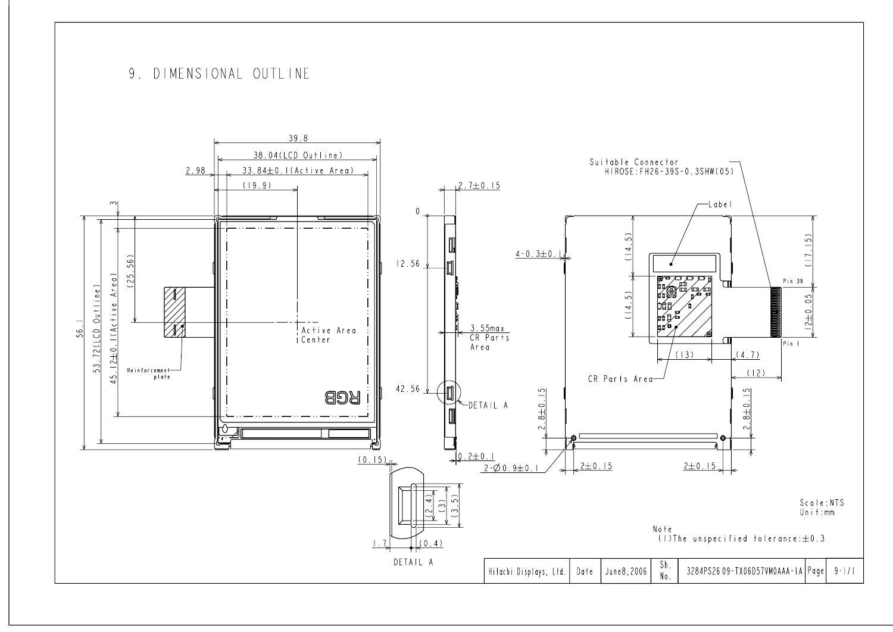# 9. DIMENSIONAL OUTLINE

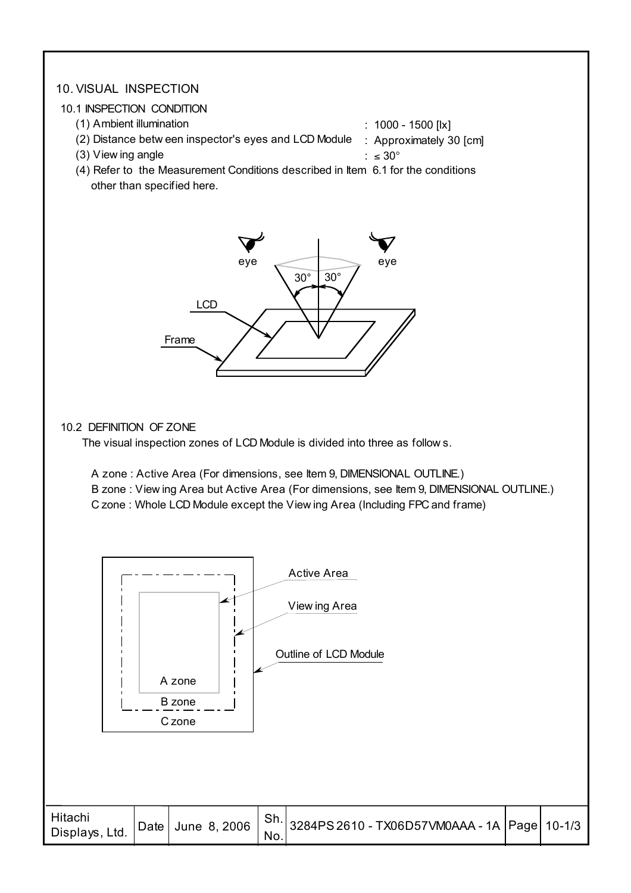#### 10. VISUAL INSPECTION

#### 10.1 INSPECTION CONDITION

- (1) Ambient illumination
- (2) Distance betw een inspector's eyes and LCD Module : Approximately 30 [cm] : 1000 - 1500 [lx]
	- (3) View ing angle

:  $\leq 30^\circ$ 

 (4) Refer to the Measurement Conditions described in Item 6.1 for the conditions other than specified here.



#### 10.2 DEFINITION OF ZONE

The visual inspection zones of LCD Module is divided into three as follow s.

A zone : Active Area (For dimensions, see Item 9, DIMENSIONAL OUTLINE.)

B zone : View ing Area but Active Area (For dimensions, see Item 9, DIMENSIONAL OUTLINE.)

C zone : Whole LCD Module except the View ing Area (Including FPC and frame)

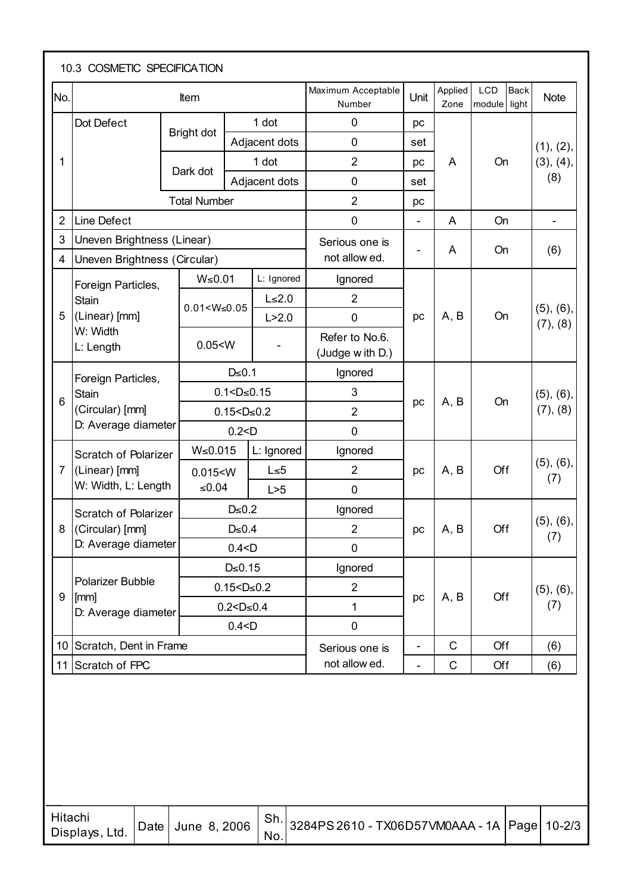| No.            |                              | Item                |                    |               | Maximum Acceptable<br>Number      | Unit                     | Applied<br>Zone | <b>Back</b><br>LCD<br>module light | <b>Note</b>              |  |  |  |  |
|----------------|------------------------------|---------------------|--------------------|---------------|-----------------------------------|--------------------------|-----------------|------------------------------------|--------------------------|--|--|--|--|
|                | Dot Defect                   | Bright dot          |                    | 1 dot         | $\mathbf 0$                       | pc                       |                 |                                    |                          |  |  |  |  |
|                |                              |                     |                    | Adjacent dots | $\mathbf 0$                       | set                      |                 |                                    | (1), (2),                |  |  |  |  |
| 1              |                              | Dark dot            |                    | 1 dot         | $\overline{2}$                    | pc                       | A               | On                                 | (3), (4),                |  |  |  |  |
|                |                              |                     |                    | Adjacent dots | $\mathbf 0$                       | set                      |                 |                                    | (8)                      |  |  |  |  |
|                |                              | <b>Total Number</b> |                    |               | $\overline{2}$                    | pc                       |                 |                                    |                          |  |  |  |  |
| $\overline{2}$ | Line Defect                  |                     |                    |               | $\boldsymbol{0}$                  | $\overline{\phantom{a}}$ | A               | On                                 | $\overline{\phantom{a}}$ |  |  |  |  |
| 3              | Uneven Brightness (Linear)   |                     |                    |               | Serious one is                    |                          | A               | On                                 | (6)                      |  |  |  |  |
| 4              | Uneven Brightness (Circular) |                     |                    |               | not allow ed.                     |                          |                 |                                    |                          |  |  |  |  |
|                | Foreign Particles,           | $W \le 0.01$        |                    | L: Ignored    | Ignored                           |                          |                 |                                    |                          |  |  |  |  |
|                | Stain                        | $0.01 < W \le 0.05$ |                    | $L \leq 2.0$  | $\overline{2}$                    |                          |                 |                                    |                          |  |  |  |  |
| 5              | (Linear) [mm]                |                     |                    | L > 2.0       | $\mathbf 0$                       | pc                       | A, B            | On                                 | (5), (6),<br>(7), (8)    |  |  |  |  |
|                | W: Width<br>L: Length        | 0.05 < W            |                    |               | Refer to No.6.<br>(Judge with D.) |                          |                 |                                    |                          |  |  |  |  |
|                | Foreign Particles,           |                     | $D \le 0.1$        |               | Ignored                           |                          |                 |                                    |                          |  |  |  |  |
|                | Stain                        |                     | $0.1 < D \le 0.15$ |               | 3                                 |                          |                 |                                    | $(5)$ , $(6)$ ,          |  |  |  |  |
| 6              | (Circular) [mm]              |                     | $0.15 < D \le 0.2$ |               | $\overline{2}$                    | pc                       | A, B            | On                                 | (7), (8)                 |  |  |  |  |
|                | D: Average diameter          |                     | 0.2 < D            |               | $\mathbf 0$                       |                          |                 |                                    |                          |  |  |  |  |
|                | Scratch of Polarizer         | W≤0.015             |                    | L: Ignored    | Ignored                           |                          |                 |                                    |                          |  |  |  |  |
| $\overline{7}$ | (Linear) [mm]                | 0.015 < W           |                    | $L \le 5$     | $\overline{2}$                    | pc                       | A, B            | Off                                | $(5)$ , $(6)$ ,          |  |  |  |  |
|                | W: Width, L: Length          | ≤ $0.04$            |                    | L > 5         | $\mathbf 0$                       |                          |                 |                                    | (7)                      |  |  |  |  |
|                | Scratch of Polarizer         |                     | $D \le 0.2$        |               | Ignored                           |                          |                 |                                    |                          |  |  |  |  |
| 8              | (Circular) [mm]              |                     | $D \le 0.4$        |               | 2                                 | pc                       | $\mid$ A, B     | Off                                | (5), (6),<br>(7)         |  |  |  |  |
|                | D: Average diameter          |                     | 0.4 < D            |               | $\mathbf 0$                       |                          |                 |                                    |                          |  |  |  |  |
|                |                              |                     | $D \le 0.15$       |               | Ignored                           |                          |                 |                                    |                          |  |  |  |  |
| 9              | <b>Polarizer Bubble</b>      |                     | $0.15 < D \le 0.2$ |               | $\overline{2}$                    |                          |                 | Off                                | $(5)$ , $(6)$ ,          |  |  |  |  |
|                | [mm]<br>D: Average diameter  |                     | $0.2 < D \le 0.4$  |               | 1                                 | pc                       | A, B            |                                    | (7)                      |  |  |  |  |
|                |                              |                     | 0.4 < D            |               | $\pmb{0}$                         |                          |                 |                                    |                          |  |  |  |  |
|                | 10 Scratch, Dent in Frame    |                     |                    |               | Serious one is                    | Ξ.                       | $\mathbf C$     | Off                                | (6)                      |  |  |  |  |
|                | 11 Scratch of FPC            |                     |                    |               | not allow ed.                     | $\overline{\phantom{0}}$ | $\mathsf C$     | Off                                | (6)                      |  |  |  |  |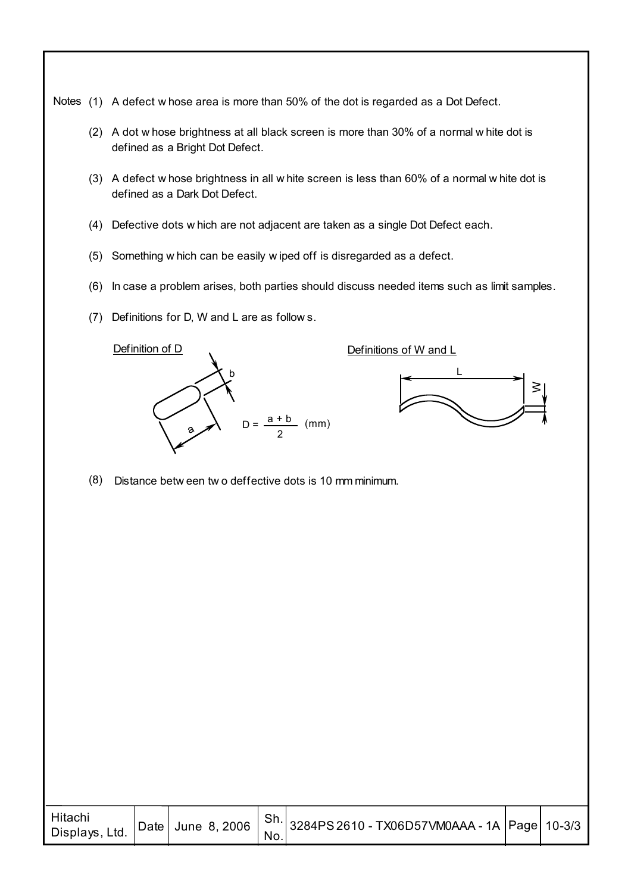Notes (1) A defect w hose area is more than 50% of the dot is regarded as a Dot Defect.

- (2) A dot w hose brightness at all black screen is more than 30% of a normal w hite dot is defined as a Bright Dot Defect.
- (3) A defect w hose brightness in all w hite screen is less than 60% of a normal w hite dot is defined as a Dark Dot Defect.
- Defective dots w hich are not adjacent are taken as a single Dot Defect each. (4)
- (5) Something w hich can be easily w iped off is disregarded as a defect.
- (6) In case a problem arises, both parties should discuss needed items such as limit samples.
- $(7)$  Definitions for D, W and L are as follows.



Definitions of W and L



(8) Distance betw een tw o deffective dots is 10 mm minimum.

| Hitachi<br>Displays, Ltd. |  |  | $'$ No. | $\vert$ Date $\vert$ June 8, 2006 $\vert$ Sh. $\vert$ 3284PS 2610 - TX06D57VM0AAA - 1A $\vert$ Page $\vert$ 10-3/3 |  |  |
|---------------------------|--|--|---------|--------------------------------------------------------------------------------------------------------------------|--|--|
|---------------------------|--|--|---------|--------------------------------------------------------------------------------------------------------------------|--|--|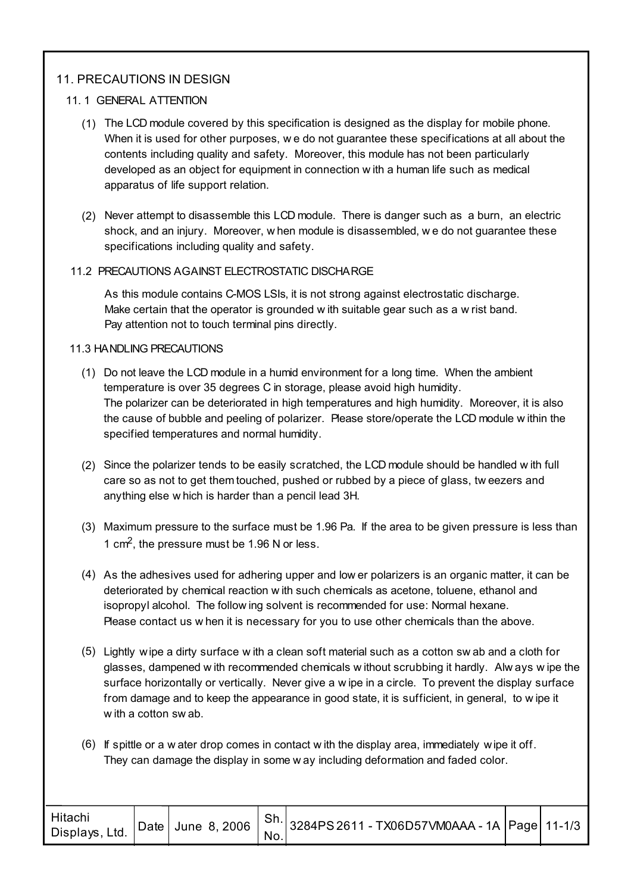## 11. PRECAUTIONS IN DESIGN

#### 11. 1 GENERAL ATTENTION

- The LCD module covered by this specification is designed as the display for mobile phone. (1) When it is used for other purposes, we do not guarantee these specifications at all about the contents including quality and safety. Moreover, this module has not been particularly developed as an object for equipment in connection w ith a human life such as medical apparatus of life support relation.
- Never attempt to disassemble this LCD module. There is danger such as a burn, an electric (2) shock, and an injury. Moreover, w hen module is disassembled, w e do not guarantee these specifications including quality and safety.

#### 11.2 PRECAUTIONS AGAINST ELECTROSTATIC DISCHARGE

As this module contains C-MOS LSIs, it is not strong against electrostatic discharge. Make certain that the operator is grounded w ith suitable gear such as a w rist band. Pay attention not to touch terminal pins directly.

#### 11.3 HANDLING PRECAUTIONS

- (1) Do not leave the LCD module in a humid environment for a long time. When the ambient temperature is over 35 degrees C in storage, please avoid high humidity. The polarizer can be deteriorated in high temperatures and high humidity. Moreover, it is also the cause of bubble and peeling of polarizer. Please store/operate the LCD module w ithin the specified temperatures and normal humidity.
- (2) Since the polarizer tends to be easily scratched, the LCD module should be handled with full care so as not to get them touched, pushed or rubbed by a piece of glass, tw eezers and anything else w hich is harder than a pencil lead 3H.
- Maximum pressure to the surface must be 1.96 Pa. If the area to be given pressure is less than (3) 1 cm2, the pressure must be 1.96 N or less.
- (4) As the adhesives used for adhering upper and low er polarizers is an organic matter, it can be deteriorated by chemical reaction w ith such chemicals as acetone, toluene, ethanol and isopropyl alcohol. The follow ing solvent is recommended for use: Normal hexane. Please contact us w hen it is necessary for you to use other chemicals than the above.
- Lightly wipe a dirty surface w ith a clean soft material such as a cotton sw ab and a cloth for (5) glasses, dampened w ith recommended chemicals w ithout scrubbing it hardly. Alw ays w ipe the surface horizontally or vertically. Never give a w ipe in a circle. To prevent the display surface from damage and to keep the appearance in good state, it is sufficient, in general, to w ipe it w ith a cotton sw ab.
- (6) If spittle or a w ater drop comes in contact w ith the display area, immediately wipe it off. They can damage the display in some w ay including deformation and faded color.

| Hitachi<br>Displays, Ltd. |  |  | No. | Date June 8, 2006 $\binom{Sh}{1}$ 3284PS 2611 - TX06D57VM0AAA - 1A Page 11-1/3 |  |  |
|---------------------------|--|--|-----|--------------------------------------------------------------------------------|--|--|
|---------------------------|--|--|-----|--------------------------------------------------------------------------------|--|--|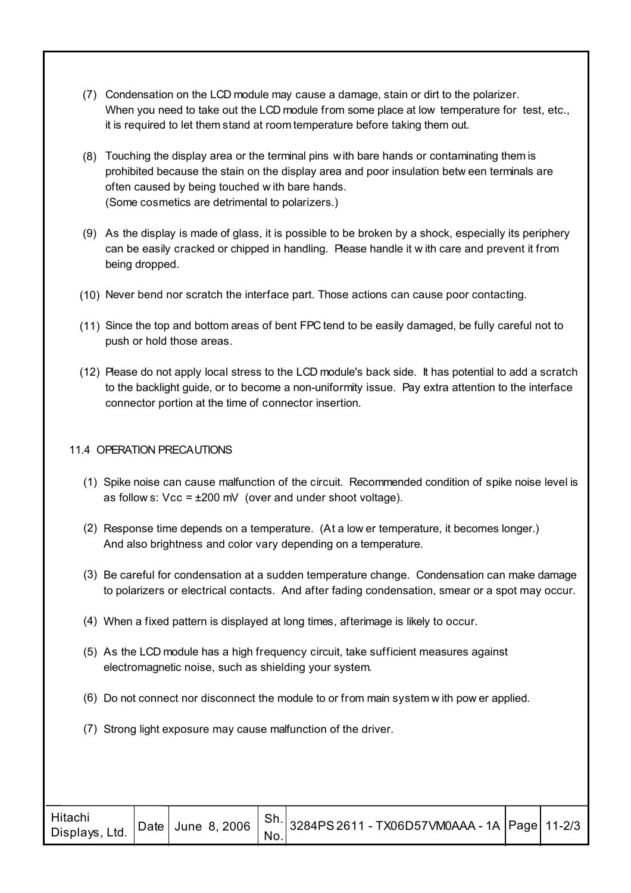- Condensation on the LCD module may cause a damage, stain or dirt to the polarizer. (7) When you need to take out the LCD module from some place at low temperature for test, etc., it is required to let them stand at room temperature before taking them out.
- Touching the display area or the terminal pins with bare hands or contaminating them is (8) prohibited because the stain on the display area and poor insulation betw een terminals are often caused by being touched w ith bare hands. (Some cosmetics are detrimental to polarizers.)
- As the display is made of glass, it is possible to be broken by a shock, especially its periphery (9) can be easily cracked or chipped in handling. Please handle it w ith care and prevent it from being dropped.
- (10) Never bend nor scratch the interface part. Those actions can cause poor contacting.
- (11) Since the top and bottom areas of bent FPC tend to be easily damaged, be fully careful not to push or hold those areas.
- (12) Please do not apply local stress to the LCD module's back side. It has potential to add a scratch to the backlight guide, or to become a non-uniformity issue. Pay extra attention to the interface connector portion at the time of connector insertion.

#### 11.4 OPERATION PRECAUTIONS

- (1) Spike noise can cause malfunction of the circuit. Recommended condition of spike noise level is as follow s:  $Vec = \pm 200$  mV (over and under shoot voltage).
- (2) Response time depends on a temperature. (At a low er temperature, it becomes longer.) And also brightness and color vary depending on a temperature.
- (3) Be careful for condensation at a sudden temperature change. Condensation can make damage to polarizers or electrical contacts. And after fading condensation, smear or a spot may occur.
- (4) When a fixed pattern is displayed at long times, afterimage is likely to occur.
- (5) As the LCD module has a high frequency circuit, take sufficient measures against electromagnetic noise, such as shielding your system.
- (6) Do not connect nor disconnect the module to or from main system w ith pow er applied.
- (7) Strong light exposure may cause malfunction of the driver.

| Hitachi<br>Displays, Ltd. |  |  | No. | Date June 8, 2006 $\left  \begin{array}{c} \text{Sh.} \\ \text{S1} \end{array} \right $ 3284PS 2611 - TX06D57VM0AAA - 1A Page 11-2/3 |  |  |
|---------------------------|--|--|-----|--------------------------------------------------------------------------------------------------------------------------------------|--|--|
|---------------------------|--|--|-----|--------------------------------------------------------------------------------------------------------------------------------------|--|--|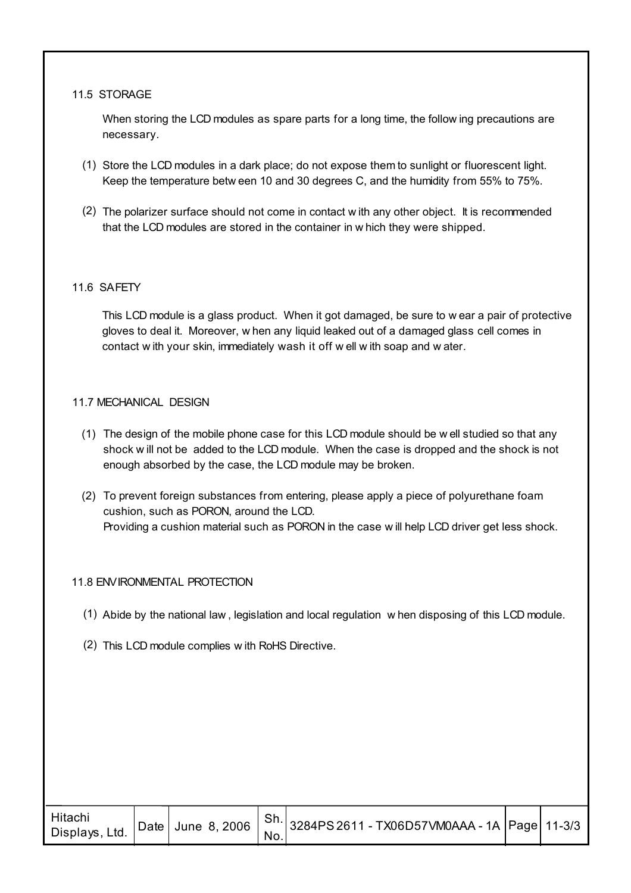#### 11.5 STORAGE

When storing the LCD modules as spare parts for a long time, the follow ing precautions are necessary.

- (1) Store the LCD modules in a dark place; do not expose them to sunlight or fluorescent light. Keep the temperature betw een 10 and 30 degrees C, and the humidity from 55% to 75%.
- (2) The polarizer surface should not come in contact w ith any other object. It is recommended that the LCD modules are stored in the container in w hich they were shipped.

#### 11.6 SAFETY

This LCD module is a glass product. When it got damaged, be sure to w ear a pair of protective gloves to deal it. Moreover, w hen any liquid leaked out of a damaged glass cell comes in contact w ith your skin, immediately wash it off w ell w ith soap and w ater.

#### 11.7 MECHANICAL DESIGN

- The design of the mobile phone case for this LCD module should be w ell studied so that any (1) shock w ill not be added to the LCD module. When the case is dropped and the shock is not enough absorbed by the case, the LCD module may be broken.
- (2) To prevent foreign substances from entering, please apply a piece of polyurethane foam cushion, such as PORON, around the LCD. Providing a cushion material such as PORON in the case w ill help LCD driver get less shock.

#### 11.8 ENVIRONMENTAL PROTECTION

- (1) Abide by the national law, legislation and local regulation w hen disposing of this LCD module.
- (2) This LCD module complies w ith RoHS Directive.

| Hitachi<br>Displays, Ltd. |  |  | No. | $\vert$ Date $\vert$ June 8, 2006 $\vert$ Sh. 3284PS 2611 - TX06D57VM0AAA - 1A $\vert$ Page 11-3/3 |  |  |
|---------------------------|--|--|-----|----------------------------------------------------------------------------------------------------|--|--|
|---------------------------|--|--|-----|----------------------------------------------------------------------------------------------------|--|--|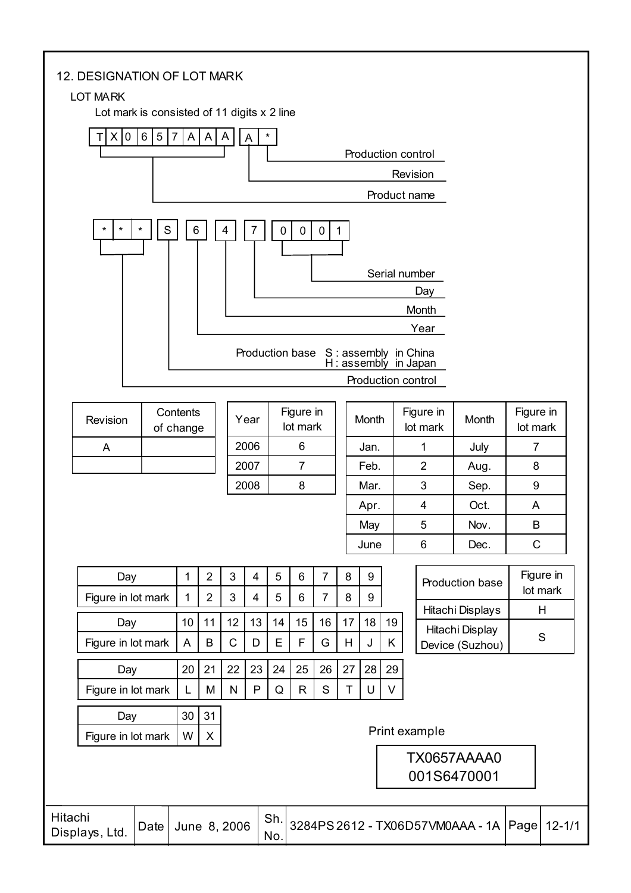#### 12. DESIGNATION OF LOT MARK

#### LOT MARK

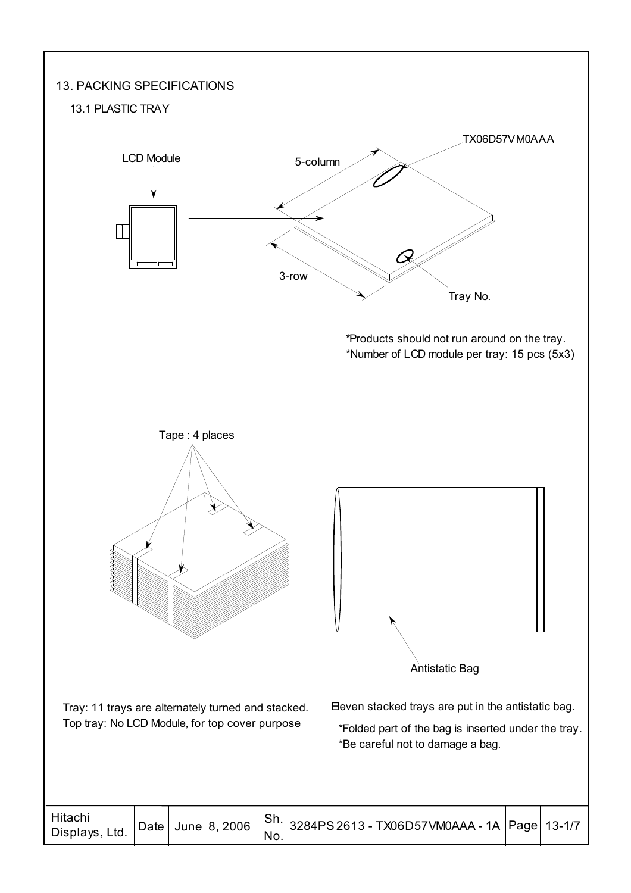# 13. PACKING SPECIFICATIONS

#### 13.1 PLASTIC TRAY



| Hitachi<br>Displays, Ltd. |  |  |  |  |  |  |
|---------------------------|--|--|--|--|--|--|
|---------------------------|--|--|--|--|--|--|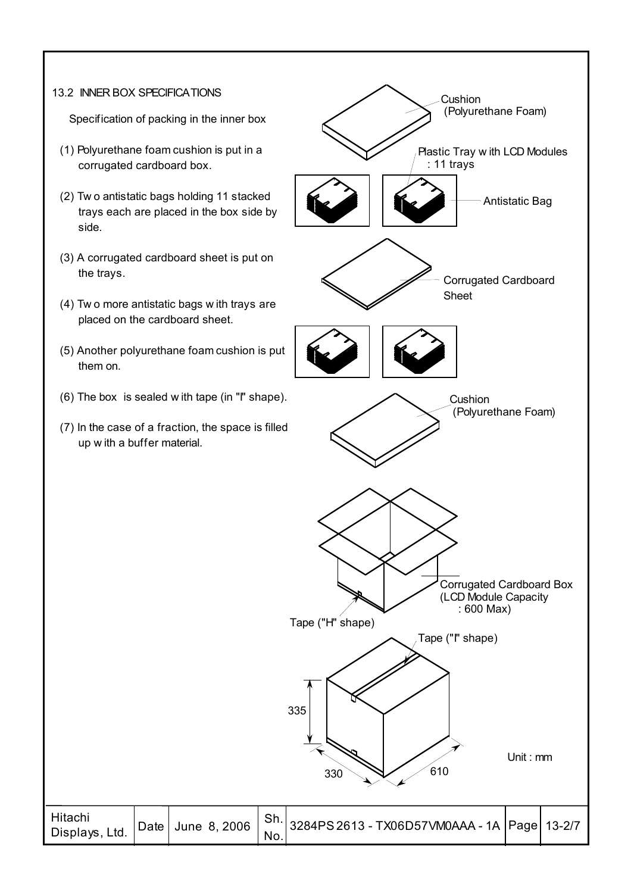#### 13.2 INNER BOX SPECIFICATIONS

I

Specification of packing in the inner box

- (1) Polyurethane foam cushion is put in a corrugated cardboard box.
- (2) Tw o antistatic bags holding 11 stacked trays each are placed in the box side by side.
- (3) A corrugated cardboard sheet is put on the trays.
- (4) Tw o more antistatic bags w ith trays are placed on the cardboard sheet.
- (5) Another polyurethane foam cushion is put them on.
- (6) The box is sealed w ith tape (in "I" shape).
- (7) In the case of a fraction, the space is filled up w ith a buffer material.

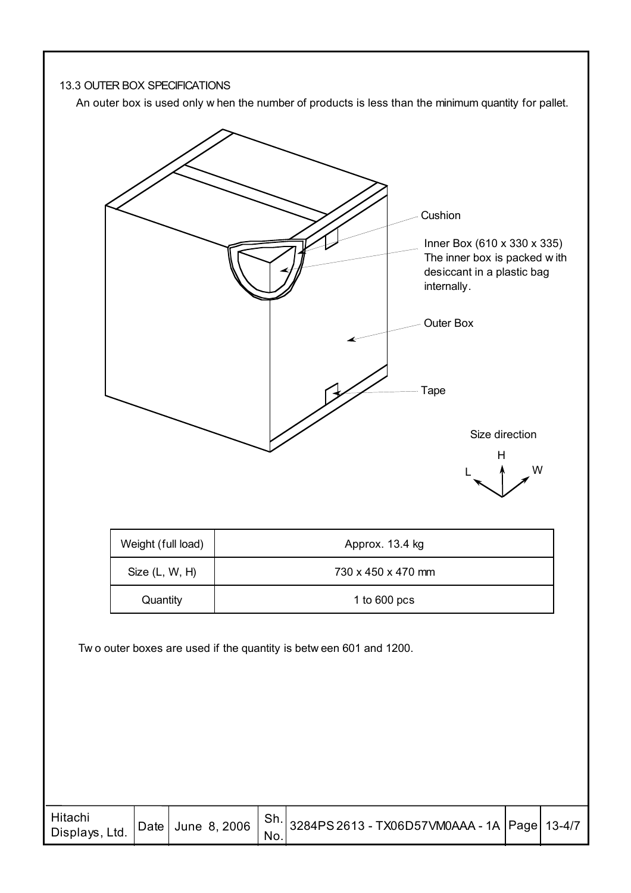

An outer box is used only w hen the number of products is less than the minimum quantity for pallet.



No.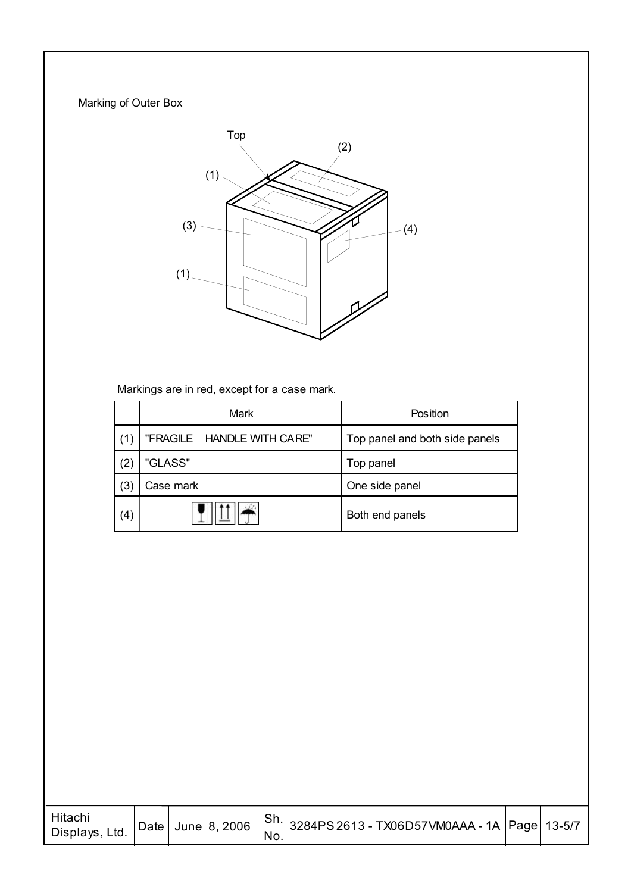# Marking of Outer Box



Markings are in red, except for a case mark.

|     | Mark                       | Position                       |
|-----|----------------------------|--------------------------------|
| (1) | "FRAGILE HANDLE WITH CARE" | Top panel and both side panels |
| (2) | "GLASS"                    | Top panel                      |
| (3) | Case mark                  | One side panel                 |
| (4) |                            | Both end panels                |

| Hitachi<br>Displays, Ltd. |  |     | Date June 8, 2006 $ $ Sh. 3284PS 2613 - TX06D57VM0AAA - 1A Page 13-5/7 |  |
|---------------------------|--|-----|------------------------------------------------------------------------|--|
|                           |  | No. |                                                                        |  |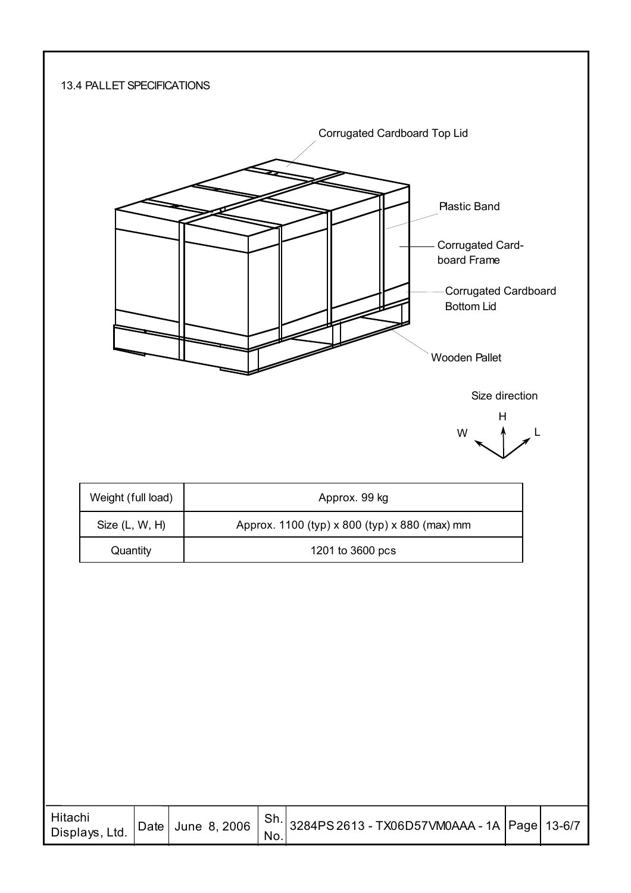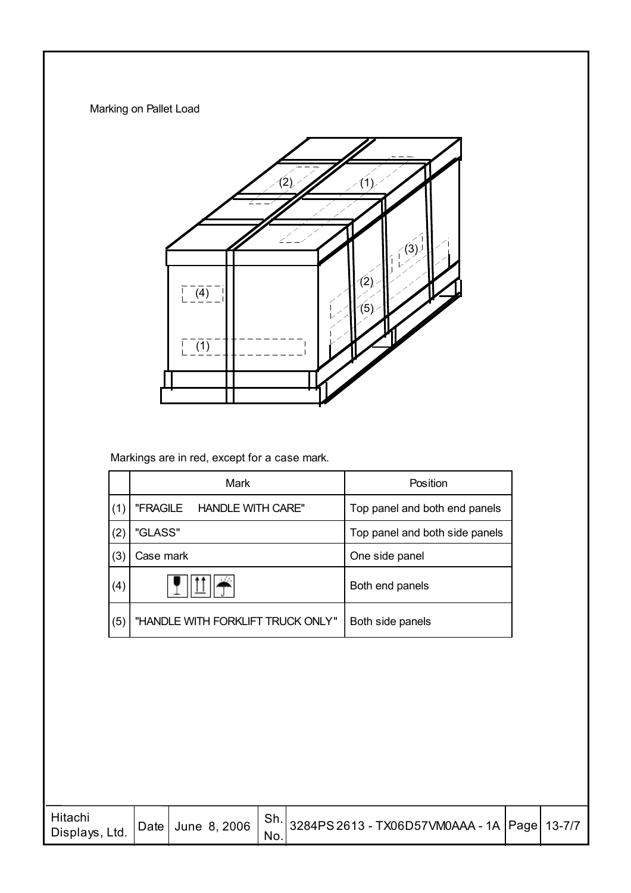Marking on Pallet Load



Markings are in red, except for a case mark.

|     | Mark                              | Position                       |
|-----|-----------------------------------|--------------------------------|
| (1) | "FRAGILE HANDLE WITH CARE"        | Top panel and both end panels  |
| (2) | "GLASS"                           | Top panel and both side panels |
| (3) | Case mark                         | One side panel                 |
| (4) |                                   | Both end panels                |
| (5) | "HANDLE WITH FORKLIFT TRUCK ONLY" | Both side panels               |

| Hitachi<br>Displays, Ltd. |  |  | No. | Date June 8, 2006   Sh. 3284PS 2613 - TX06D57VM0AAA - 1A Page 13-7/7 |  |  |
|---------------------------|--|--|-----|----------------------------------------------------------------------|--|--|
|---------------------------|--|--|-----|----------------------------------------------------------------------|--|--|